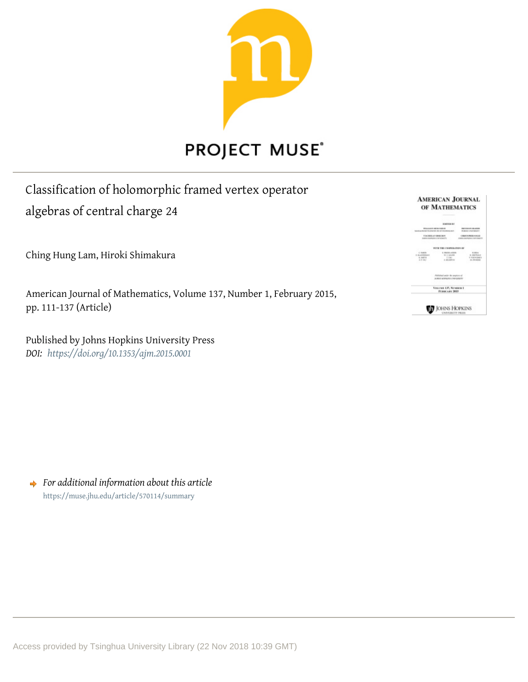

# **PROJECT MUSE®**

# Classification of holomorphic framed vertex operator algebras of central charge 24

Ching Hung Lam, Hiroki Shimakura

American Journal of Mathematics, Volume 137, Number 1, February 2015, pp. 111-137 (Article)

Published by Johns Hopkins University Press *DOI: <https://doi.org/10.1353/ajm.2015.0001>*



*For additional information about this article* <https://muse.jhu.edu/article/570114/summary>

Access provided by Tsinghua University Library (22 Nov 2018 10:39 GMT)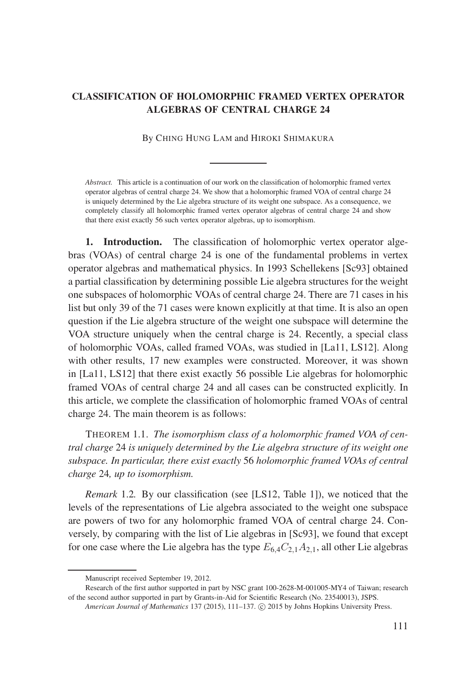## **CLASSIFICATION OF HOLOMORPHIC FRAMED VERTEX OPERATOR ALGEBRAS OF CENTRAL CHARGE 24**

By CHING HUNG LAM and HIROKI SHIMAKURA

*Abstract.* This article is a continuation of our work on the classification of holomorphic framed vertex operator algebras of central charge 24. We show that a holomorphic framed VOA of central charge 24 is uniquely determined by the Lie algebra structure of its weight one subspace. As a consequence, we completely classify all holomorphic framed vertex operator algebras of central charge 24 and show that there exist exactly 56 such vertex operator algebras, up to isomorphism.

**1. Introduction.** The classification of holomorphic vertex operator algebras (VOAs) of central charge 24 is one of the fundamental problems in vertex operator algebras and mathematical physics. In 1993 Schellekens [Sc93] obtained a partial classification by determining possible Lie algebra structures for the weight one subspaces of holomorphic VOAs of central charge 24. There are 71 cases in his list but only 39 of the 71 cases were known explicitly at that time. It is also an open question if the Lie algebra structure of the weight one subspace will determine the VOA structure uniquely when the central charge is 24. Recently, a special class of holomorphic VOAs, called framed VOAs, was studied in [La11, LS12]. Along with other results, 17 new examples were constructed. Moreover, it was shown in [La11, LS12] that there exist exactly 56 possible Lie algebras for holomorphic framed VOAs of central charge 24 and all cases can be constructed explicitly. In this article, we complete the classification of holomorphic framed VOAs of central charge 24. The main theorem is as follows:

THEOREM 1.1. *The isomorphism class of a holomorphic framed VOA of central charge* 24 *is uniquely determined by the Lie algebra structure of its weight one subspace. In particular, there exist exactly* 56 *holomorphic framed VOAs of central charge* 24*, up to isomorphism.*

*Remark* 1.2*.* By our classification (see [LS12, Table 1]), we noticed that the levels of the representations of Lie algebra associated to the weight one subspace are powers of two for any holomorphic framed VOA of central charge 24. Conversely, by comparing with the list of Lie algebras in [Sc93], we found that except for one case where the Lie algebra has the type  $E_{6,4}C_{2,1}A_{2,1}$ , all other Lie algebras

Manuscript received September 19, 2012.

Research of the first author supported in part by NSC grant 100-2628-M-001005-MY4 of Taiwan; research of the second author supported in part by Grants-in-Aid for Scientific Research (No. 23540013), JSPS.

American Journal of Mathematics 137 (2015), 111–137. © 2015 by Johns Hopkins University Press.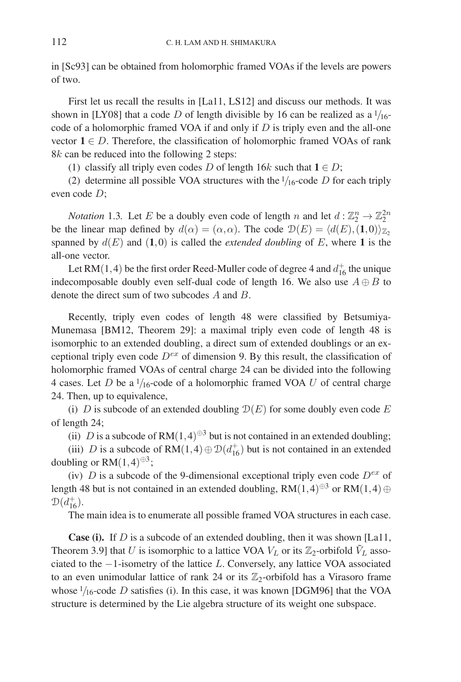in [Sc93] can be obtained from holomorphic framed VOAs if the levels are powers of two.

First let us recall the results in [La11, LS12] and discuss our methods. It was shown in [LY08] that a code D of length divisible by 16 can be realized as  $a^{1/16}$ code of a holomorphic framed VOA if and only if  $D$  is triply even and the all-one vector  $1 \in D$ . Therefore, the classification of holomorphic framed VOAs of rank 8k can be reduced into the following 2 steps:

(1) classify all triply even codes D of length 16k such that  $1 \in D$ ;

(2) determine all possible VOA structures with the  $1/16$ -code D for each triply even code D;

*Notation* 1.3. Let *E* be a doubly even code of length *n* and let  $d : \mathbb{Z}_2^n \to \mathbb{Z}_2^{2n}$ be the linear map defined by  $d(\alpha)=(\alpha,\alpha)$ . The code  $\mathcal{D}(E) = \langle d(E), (1,0) \rangle_{\mathbb{Z}_2}$ spanned by  $d(E)$  and  $(1,0)$  is called the *extended doubling* of E, where 1 is the all-one vector.

Let RM $(1,4)$  be the first order Reed-Muller code of degree 4 and  $d_{16}^+$  the unique indecomposable doubly even self-dual code of length 16. We also use  $A \oplus B$  to denote the direct sum of two subcodes A and B.

Recently, triply even codes of length 48 were classified by Betsumiya-Munemasa [BM12, Theorem 29]: a maximal triply even code of length 48 is isomorphic to an extended doubling, a direct sum of extended doublings or an exceptional triply even code  $D^{ex}$  of dimension 9. By this result, the classification of holomorphic framed VOAs of central charge 24 can be divided into the following 4 cases. Let D be a  $1/16$ -code of a holomorphic framed VOA U of central charge 24. Then, up to equivalence,

(i) D is subcode of an extended doubling  $\mathcal{D}(E)$  for some doubly even code E of length 24;

(ii) D is a subcode of RM $(1,4)^{\oplus 3}$  but is not contained in an extended doubling;

(iii) D is a subcode of RM(1,4)  $\oplus$   $\mathcal{D}(d_{16}^+)$  but is not contained in an extended doubling or RM $(1,4)^{\oplus 3}$ ;

(iv) D is a subcode of the 9-dimensional exceptional triply even code  $D^{ex}$  of length 48 but is not contained in an extended doubling, RM $(1,4)$ <sup>⊕3</sup> or RM $(1,4)$ ⊕  $D(d_{16}^+).$ 

The main idea is to enumerate all possible framed VOA structures in each case.

**Case (i).** If D is a subcode of an extended doubling, then it was shown [La11, Theorem 3.9] that U is isomorphic to a lattice VOA  $V_L$  or its  $\mathbb{Z}_2$ -orbifold  $\tilde{V}_L$  associated to the −1-isometry of the lattice L. Conversely, any lattice VOA associated to an even unimodular lattice of rank 24 or its  $\mathbb{Z}_2$ -orbifold has a Virasoro frame whose  $\frac{1}{16}$ -code D satisfies (i). In this case, it was known [DGM96] that the VOA structure is determined by the Lie algebra structure of its weight one subspace.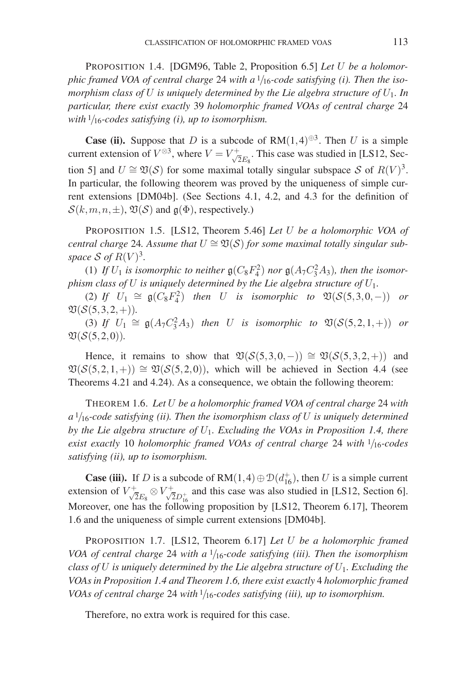PROPOSITION 1.4. [DGM96, Table 2, Proposition 6.5] *Let* U *be a holomorphic framed VOA of central charge* 24 *with a* <sup>1</sup>/16*-code satisfying (i). Then the isomorphism class of*  $U$  *is uniquely determined by the Lie algebra structure of*  $U_1$ *. In particular, there exist exactly* 39 *holomorphic framed VOAs of central charge* 24 *with* <sup>1</sup>/16*-codes satisfying (i), up to isomorphism.*

**Case (ii).** Suppose that D is a subcode of RM $(1,4)^{\oplus 3}$ . Then U is a simple current extension of  $V^{\otimes 3}$ , where  $V = V_{\sqrt{2}E_8}^+$ . This case was studied in [LS12, Section 5] and  $U \cong \mathfrak{V}(S)$  for some maximal totally singular subspace S of  $R(V)^3$ . In particular, the following theorem was proved by the uniqueness of simple current extensions [DM04b]. (See Sections 4.1, 4.2, and 4.3 for the definition of  $S(k,m,n,\pm)$ ,  $\mathfrak{V}(S)$  and  $\mathfrak{g}(\Phi)$ , respectively.)

PROPOSITION 1.5. [LS12, Theorem 5.46] *Let* U *be a holomorphic VOA of central charge* 24*. Assume that*  $U \cong \mathfrak{V}(S)$  *for some maximal totally singular subspace*  $S$  *of*  $R(V)^3$ *.* 

(1) If  $U_1$  is isomorphic to neither  $\mathfrak{g}(C_8F_4^2)$  nor  $\mathfrak{g}(A_7C_3^2A_3)$ , then the isomor*phism class of*  $U$  *is uniquely determined by the Lie algebra structure of*  $U_1$ *.* 

(2) *If*  $U_1 \cong \mathfrak{g}(C_8F_4^2)$  *then U is isomorphic to*  $\mathfrak{V}(\mathcal{S}(5,3,0,-))$  *or*  $\mathfrak{V}(\mathcal{S}(5,3,2,+))$ .

(3) *If*  $U_1 \cong \mathfrak{g}(A_7 C_3^2 A_3)$  *then U is isomorphic to*  $\mathfrak{V}(\mathcal{S}(5,2,1,+) )$  *or*  $\mathfrak{V}(\mathcal{S}(5,2,0))$ .

Hence, it remains to show that  $\mathfrak{V}(\mathcal{S}(5,3,0,-)) \cong \mathfrak{V}(\mathcal{S}(5,3,2,+))$  and  $\mathfrak{V}(\mathcal{S}(5,2,1,+)) \cong \mathfrak{V}(\mathcal{S}(5,2,0))$ , which will be achieved in Section 4.4 (see Theorems 4.21 and 4.24). As a consequence, we obtain the following theorem:

THEOREM 1.6. *Let* U *be a holomorphic framed VOA of central charge* 24 *with*  $a<sup>1</sup>/16$ -code satisfying (ii). Then the isomorphism class of U is uniquely determined *by the Lie algebra structure of* U1*. Excluding the VOAs in Proposition 1.4, there exist exactly* 10 *holomorphic framed VOAs of central charge* 24 *with* <sup>1</sup>/16*-codes satisfying (ii), up to isomorphism.*

**Case (iii).** If D is a subcode of RM(1,4)  $\oplus$   $\mathcal{D}(d_{16}^+)$ , then U is a simple current extension of  $V_{\sqrt{2}E_8}^+ \otimes V_{\sqrt{2}D_{16}^+}^+$  and this case was also studied in [LS12, Section 6]. Moreover, one has the following proposition by [LS12, Theorem 6.17], Theorem 1.6 and the uniqueness of simple current extensions [DM04b].

PROPOSITION 1.7. [LS12, Theorem 6.17] *Let* U *be a holomorphic framed VOA of central charge* 24 *with a* <sup>1</sup>/16*-code satisfying (iii). Then the isomorphism class of*  $U$  *is uniquely determined by the Lie algebra structure of*  $U_1$ *. Excluding the VOAs in Proposition 1.4 and Theorem 1.6, there exist exactly* 4 *holomorphic framed VOAs of central charge* 24 *with* <sup>1</sup>/16*-codes satisfying (iii), up to isomorphism.*

Therefore, no extra work is required for this case.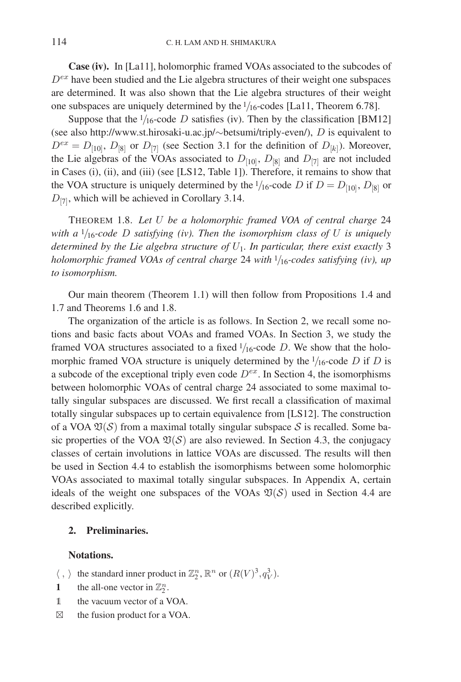**Case (iv).** In [La11], holomorphic framed VOAs associated to the subcodes of  $D^{ex}$  have been studied and the Lie algebra structures of their weight one subspaces are determined. It was also shown that the Lie algebra structures of their weight one subspaces are uniquely determined by the  $\frac{1}{16}$ -codes [La11, Theorem 6.78].

Suppose that the  $1/16$ -code D satisfies (iv). Then by the classification [BM12] (see also http://www.st.hirosaki-u.ac.jp/∼betsumi/triply-even/), D is equivalent to  $D^{ex} = D_{[10]}, D_{[8]}$  or  $D_{[7]}$  (see Section 3.1 for the definition of  $D_{[k]}$ ). Moreover, the Lie algebras of the VOAs associated to  $D_{[10]}$ ,  $D_{[8]}$  and  $D_{[7]}$  are not included in Cases (i), (ii), and (iii) (see [LS12, Table 1]). Therefore, it remains to show that the VOA structure is uniquely determined by the  $1/16$ -code D if  $D = D_{[10]}$ ,  $D_{[8]}$  or  $D_{[7]}$ , which will be achieved in Corollary 3.14.

THEOREM 1.8. *Let* U *be a holomorphic framed VOA of central charge* 24 *with a*  $1/16$ -code D satisfying (iv). Then the isomorphism class of U is uniquely *determined by the Lie algebra structure of* U1*. In particular, there exist exactly* 3 *holomorphic framed VOAs of central charge* 24 *with* <sup>1</sup>/16*-codes satisfying (iv), up to isomorphism.*

Our main theorem (Theorem 1.1) will then follow from Propositions 1.4 and 1.7 and Theorems 1.6 and 1.8.

The organization of the article is as follows. In Section 2, we recall some notions and basic facts about VOAs and framed VOAs. In Section 3, we study the framed VOA structures associated to a fixed  $1/16$ -code D. We show that the holomorphic framed VOA structure is uniquely determined by the  $1/16$ -code D if D is a subcode of the exceptional triply even code  $D^{ex}$ . In Section 4, the isomorphisms between holomorphic VOAs of central charge 24 associated to some maximal totally singular subspaces are discussed. We first recall a classification of maximal totally singular subspaces up to certain equivalence from [LS12]. The construction of a VOA  $\mathfrak{V}(S)$  from a maximal totally singular subspace S is recalled. Some basic properties of the VOA  $\mathfrak{V}(S)$  are also reviewed. In Section 4.3, the conjugacy classes of certain involutions in lattice VOAs are discussed. The results will then be used in Section 4.4 to establish the isomorphisms between some holomorphic VOAs associated to maximal totally singular subspaces. In Appendix A, certain ideals of the weight one subspaces of the VOAs  $\mathfrak{V}(\mathcal{S})$  used in Section 4.4 are described explicitly.

#### **2. Preliminaries.**

#### **Notations.**

- $\langle , \rangle$  the standard inner product in  $\mathbb{Z}_2^n$ ,  $\mathbb{R}^n$  or  $(R(V)^3,q_V^3)$ .
- **1** the all-one vector in  $\mathbb{Z}_2^n$ .
- 1 the vacuum vector of a VOA.
- $\boxtimes$ the fusion product for a VOA.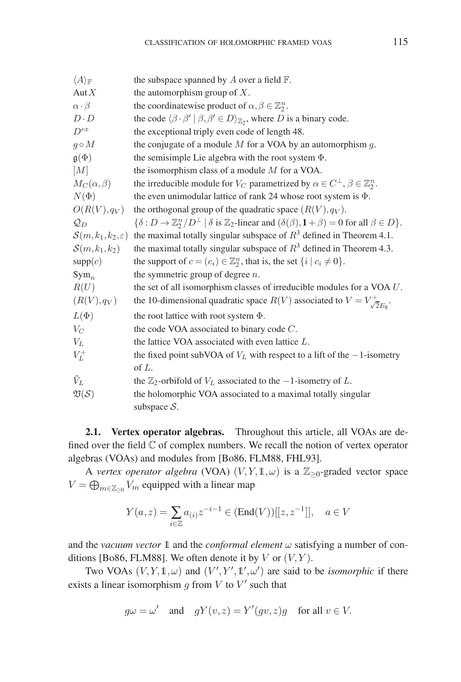| $\langle A \rangle_{\mathbb{F}}$     | the subspace spanned by $A$ over a field $\mathbb{F}$ .                                                                                                                    |
|--------------------------------------|----------------------------------------------------------------------------------------------------------------------------------------------------------------------------|
| Aut X                                | the automorphism group of $X$ .                                                                                                                                            |
| $\alpha \cdot \beta$                 | the coordinatewise product of $\alpha, \beta \in \mathbb{Z}_2^n$ .                                                                                                         |
| $D \cdot D$                          | the code $\langle \beta \cdot \beta'   \beta, \beta' \in D \rangle_{\mathbb{Z}_2}$ , where D is a binary code.                                                             |
| $D^{ex}$                             | the exceptional triply even code of length 48.                                                                                                                             |
| $g \circ M$                          | the conjugate of a module $M$ for a VOA by an automorphism $q$ .                                                                                                           |
| $\mathfrak{g}(\Phi)$                 | the semisimple Lie algebra with the root system $\Phi$ .                                                                                                                   |
| [M]                                  | the isomorphism class of a module $M$ for a VOA.                                                                                                                           |
| $M_C(\alpha,\beta)$                  | the irreducible module for $V_C$ parametrized by $\alpha \in C^{\perp}$ , $\beta \in \mathbb{Z}_2^n$ .                                                                     |
| $N(\Phi)$                            | the even unimodular lattice of rank 24 whose root system is $\Phi$ .                                                                                                       |
| $O(R(V), q_V)$                       | the orthogonal group of the quadratic space $(R(V), q_V)$ .                                                                                                                |
| $\mathcal{Q}_D$                      | $\{\delta: D \to \mathbb{Z}_2^n/D^{\perp} \mid \delta \text{ is } \mathbb{Z}_2\text{-linear and } (\delta(\beta), \mathbf{1} + \beta) = 0 \text{ for all } \beta \in D\}.$ |
| $\mathcal{S}(m,k_1,k_2,\varepsilon)$ | the maximal totally singular subspace of $R^3$ defined in Theorem 4.1.                                                                                                     |
| $\mathcal{S}(m,k_1,k_2)$             | the maximal totally singular subspace of $R^3$ defined in Theorem 4.3.                                                                                                     |
| supp(c)                              | the support of $c = (c_i) \in \mathbb{Z}_2^n$ , that is, the set $\{i \mid c_i \neq 0\}$ .                                                                                 |
| $Sym_n$                              | the symmetric group of degree $n$ .                                                                                                                                        |
| R(U)                                 | the set of all isomorphism classes of irreducible modules for a VOA U.                                                                                                     |
| $(R(V), q_V)$                        | the 10-dimensional quadratic space $R(V)$ associated to $V = V_{\sqrt{2}E_0}^+$ .                                                                                          |
| $L(\Phi)$                            | the root lattice with root system $\Phi$ .                                                                                                                                 |
| $V_C$                                | the code VOA associated to binary code $C$ .                                                                                                                               |
| $V_L$                                | the lattice VOA associated with even lattice L.                                                                                                                            |
| $V_L^+$                              | the fixed point subVOA of $V_L$ with respect to a lift of the $-1$ -isometry                                                                                               |
|                                      | of $L$ .                                                                                                                                                                   |
| $\tilde{V}_L$                        | the $\mathbb{Z}_2$ -orbifold of $V_L$ associated to the $-1$ -isometry of L.                                                                                               |
| $\mathfrak{V}(\mathcal{S})$          | the holomorphic VOA associated to a maximal totally singular                                                                                                               |
|                                      | subspace $S$ .                                                                                                                                                             |

**2.1. Vertex operator algebras.** Throughout this article, all VOAs are defined over the field  $\mathbb C$  of complex numbers. We recall the notion of vertex operator algebras (VOAs) and modules from [Bo86, FLM88, FHL93].

A *vertex operator algebra* (VOA)  $(V, Y, 1, \omega)$  is a  $\mathbb{Z}_{\geq 0}$ -graded vector space  $V = \bigoplus_{m \in \mathbb{Z}_{\geq 0}} V_m$  equipped with a linear map

$$
Y(a, z) = \sum_{i \in \mathbb{Z}} a_{(i)} z^{-i-1} \in (\text{End}(V))[[z, z^{-1}]], \quad a \in V
$$

and the *vacuum vector*  $1$  and the *conformal element*  $\omega$  satisfying a number of conditions [Bo86, FLM88]. We often denote it by  $V$  or  $(V, Y)$ .

Two VOAs  $(V, Y, 1, \omega)$  and  $(V', Y', 1', \omega')$  are said to be *isomorphic* if there exists a linear isomorphism  $g$  from  $V$  to  $V'$  such that

$$
g\omega = \omega'
$$
 and  $gY(v, z) = Y'(gv, z)g$  for all  $v \in V$ .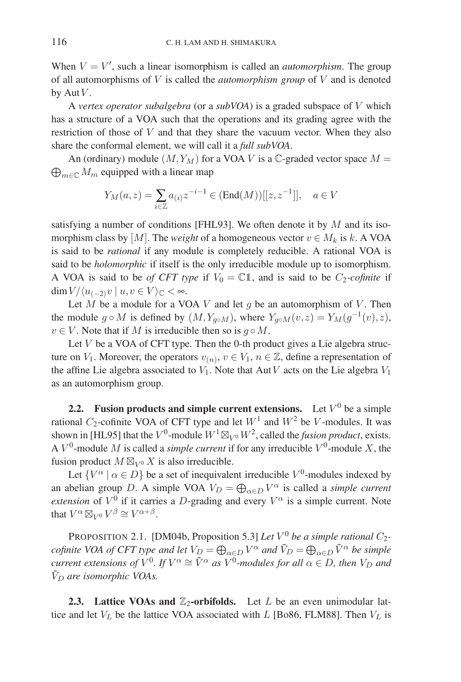When  $V = V'$ , such a linear isomorphism is called an *automorphism*. The group of all automorphisms of V is called the *automorphism group* of V and is denoted by Aut  $V$ .

A *vertex operator subalgebra* (or a *subVOA*) is a graded subspace of V which has a structure of a VOA such that the operations and its grading agree with the restriction of those of  $V$  and that they share the vacuum vector. When they also share the conformal element, we will call it a *full subVOA*.

An (ordinary) module  $(M, Y_M)$  for a VOA V is a C-graded vector space  $M =$  $\bigoplus_{m\in\mathbb{C}}M_m$  equipped with a linear map

$$
Y_M(a, z) = \sum_{i \in \mathbb{Z}} a_{(i)} z^{-i-1} \in (\text{End}(M))[[z, z^{-1}]], \quad a \in V
$$

satisfying a number of conditions [FHL93]. We often denote it by  $M$  and its isomorphism class by [M]. The *weight* of a homogeneous vector  $v \in M_k$  is k. A VOA is said to be *rational* if any module is completely reducible. A rational VOA is said to be *holomorphic* if itself is the only irreducible module up to isomorphism. A VOA is said to be *of CFT type* if  $V_0 = \mathbb{C} \mathbb{1}$ , and is said to be  $C_2$ -*cofinite* if  $\dim V / \langle u_{(-2)}v \mid u, v \in V \rangle_{\mathbb{C}} < \infty.$ 

Let  $\overline{M}$  be a module for a VOA  $V$  and let  $g$  be an automorphism of  $V$ . Then the module  $g \circ M$  is defined by  $(M, Y_{q \circ M})$ , where  $Y_{q \circ M}(v, z) = Y_M(g^{-1}(v), z)$ ,  $v \in V$ . Note that if M is irreducible then so is  $g \circ M$ .

Let  $V$  be a VOA of CFT type. Then the 0-th product gives a Lie algebra structure on  $V_1$ . Moreover, the operators  $v_{(n)}$ ,  $v \in V_1$ ,  $n \in \mathbb{Z}$ , define a representation of the affine Lie algebra associated to  $V_1$ . Note that Aut V acts on the Lie algebra  $V_1$ as an automorphism group.

**2.2. Fusion products and simple current extensions.** Let  $V^0$  be a simple rational  $C_2$ -cofinite VOA of CFT type and let  $W^1$  and  $W^2$  be V-modules. It was shown in [HL95] that the  $V^0$ -module  $W^1 \boxtimes_{V^0} W^2$ , called the *fusion product*, exists. A  $V^0$ -module M is called a *simple current* if for any irreducible  $V^0$ -module X, the fusion product  $M \boxtimes_{V^0} X$  is also irreducible.

Let  $\{V^{\alpha} | \alpha \in D\}$  be a set of inequivalent irreducible  $V^0$ -modules indexed by an abelian group D. A simple VOA  $V_D = \bigoplus_{\alpha \in D} V^{\alpha}$  is called a *simple current extension* of  $V^0$  if it carries a D-grading and every  $V^{\alpha}$  is a simple current. Note that  $V^{\alpha} \boxtimes_{V^0} V^{\beta} \cong V^{\alpha+\beta}$ .

PROPOSITION 2.1. [DM04b, Proposition 5.3] *Let*  $V^0$  *be a simple rational*  $C_2$ *cofinite VOA of CFT type and let*  $V_D = \bigoplus_{\alpha \in D} V^{\alpha}$  *and*  $\tilde{V}_D = \bigoplus_{\alpha \in D} \tilde{V}^{\alpha}$  *be simple current extensions of*  $V^0$ *. If*  $V^{\alpha} \cong \tilde{V}^{\alpha}$  *as*  $V^0$ *-modules for all*  $\alpha \in D$ *, then*  $V_D$  *and*  $\tilde{V}_D$  are isomorphic VOAs.

**2.3.** Lattice VOAs and  $\mathbb{Z}_2$ -orbifolds. Let L be an even unimodular lattice and let  $V_L$  be the lattice VOA associated with L [Bo86, FLM88]. Then  $V_L$  is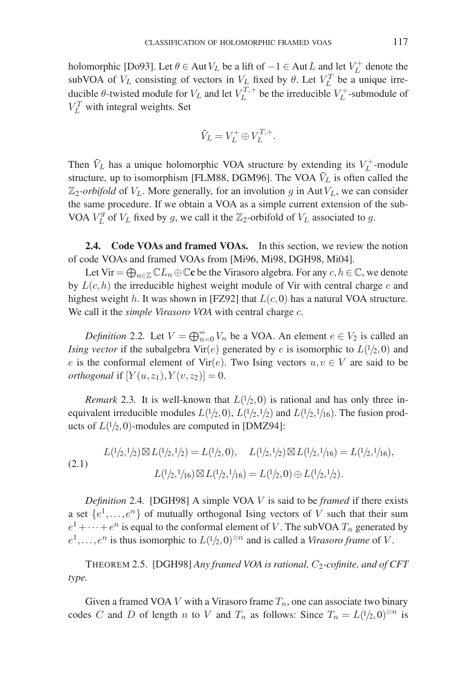holomorphic [Do93]. Let  $\theta \in$  Aut $V_L$  be a lift of  $-1 \in$  Aut  $L$  and let  $V_L^+$  denote the subVOA of  $V_L$  consisting of vectors in  $V_L$  fixed by  $\theta$ . Let  $V_L^T$  be a unique irreducible  $\theta$ -twisted module for  $V_L$  and let  $V_L^{\overline{T},+}$  be the irreducible  $V_L^+$ -submodule of  $V_L^T$  with integral weights. Set

$$
\tilde{V}_L = V_L^+ \oplus V_L^{T,+}.
$$

Then  $\tilde{V}_L$  has a unique holomorphic VOA structure by extending its  $V_L^+$ -module structure, up to isomorphism [FLM88, DGM96]. The VOA  $V_L$  is often called the  $\mathbb{Z}_2$ -orbifold of  $V_L$ . More generally, for an involution g in Aut  $V_L$ , we can consider the same procedure. If we obtain a VOA as a simple current extension of the sub-VOA  $V_L^g$  of  $V_L$  fixed by g, we call it the  $\mathbb{Z}_2$ -orbifold of  $V_L$  associated to g.

**2.4. Code VOAs and framed VOAs.** In this section, we review the notion of code VOAs and framed VOAs from [Mi96, Mi98, DGH98, Mi04].

Let Vir  $=\bigoplus_{n\in\mathbb{Z}}\mathbb{C}L_n\oplus\mathbb{C}c$  be the Virasoro algebra. For any  $c,h\in\mathbb{C}$ , we denote by  $L(c, h)$  the irreducible highest weight module of Vir with central charge c and highest weight h. It was shown in [FZ92] that  $L(c,0)$  has a natural VOA structure. We call it the *simple Virasoro VOA* with central charge c.

*Definition* 2.2. Let  $V = \bigoplus_{n=0}^{\infty} V_n$  be a VOA. An element  $e \in V_2$  is called an *Ising vector* if the subalgebra  $Vir(e)$  generated by e is isomorphic to  $L(1/2,0)$  and e is the conformal element of Vir(e). Two Ising vectors  $u, v \in V$  are said to be *orthogonal* if  $[Y(u, z_1), Y(v, z_2)] = 0$ .

*Remark* 2.3. It is well-known that  $L(1/2,0)$  is rational and has only three inequivalent irreducible modules  $L(1/2,0)$ ,  $L(1/2,1/2)$  and  $L(1/2,1/16)$ . The fusion products of  $L(1/2, 0)$ -modules are computed in [DMZ94]:

$$
L(1/2,1/2) \boxtimes L(1/2,1/2) = L(1/2,0), \quad L(1/2,1/2) \boxtimes L(1/2,1/16) = L(1/2,1/16),
$$
  
(2.1) 
$$
L(1/2,1/16) \boxtimes L(1/2,1/16) = L(1/2,0) \oplus L(1/2,1/2).
$$

*Definition* 2.4*.* [DGH98] A simple VOA V is said to be *framed* if there exists a set  $\{e^1, \ldots, e^n\}$  of mutually orthogonal Ising vectors of V such that their sum  $e^1 + \cdots + e^n$  is equal to the conformal element of V. The subVOA  $T_n$  generated by  $e^1, \ldots, e^n$  is thus isomorphic to  $L(1/2,0)^{\otimes n}$  and is called a *Virasoro frame* of *V*.

THEOREM 2.5. [DGH98] *Any framed VOA is rational, C<sub>2</sub>-cofinite, and of CFT type.*

Given a framed VOA V with a Virasoro frame  $T_n$ , one can associate two binary codes C and D of length n to V and  $T_n$  as follows: Since  $T_n = L(1/2,0)^{\otimes n}$  is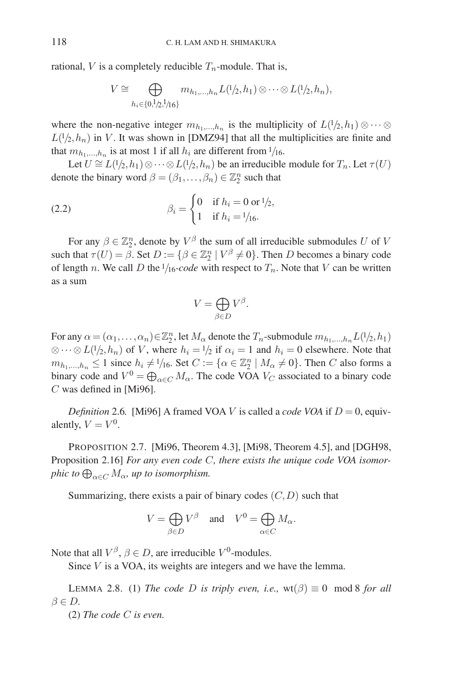rational, V is a completely reducible  $T_n$ -module. That is,

$$
V \cong \bigoplus_{h_i \in \{0,1/2,1/16\}} m_{h_1,\ldots,h_n} L(1/2,h_1) \otimes \cdots \otimes L(1/2,h_n),
$$

where the non-negative integer  $m_{h_1,...,h_n}$  is the multiplicity of  $L(1/2,h_1) \otimes \cdots \otimes$  $L(1/2,h_n)$  in V. It was shown in [DMZ94] that all the multiplicities are finite and that  $m_{h_1,...,h_n}$  is at most 1 if all  $h_i$  are different from  $1/16$ .

Let  $U \cong L(1/2, h_1) \otimes \cdots \otimes L(1/2, h_n)$  be an irreducible module for  $T_n$ . Let  $\tau(U)$ denote the binary word  $\beta = (\beta_1, \dots, \beta_n) \in \mathbb{Z}_2^n$  such that

(2.2) 
$$
\beta_i = \begin{cases} 0 & \text{if } h_i = 0 \text{ or } 1/2, \\ 1 & \text{if } h_i = 1/16. \end{cases}
$$

For any  $\beta \in \mathbb{Z}_2^n$ , denote by  $V^{\beta}$  the sum of all irreducible submodules U of V such that  $\tau(U) = \tilde{\beta}$ . Set  $D := \{ \beta \in \mathbb{Z}_2^n \mid V^{\beta} \neq 0 \}$ . Then D becomes a binary code of length n. We call D the  $1/16$ -code with respect to  $T_n$ . Note that V can be written as a sum

$$
V=\bigoplus_{\beta\in D}V^{\beta}.
$$

For any  $\alpha = (\alpha_1, \dots, \alpha_n) \in \mathbb{Z}_2^n$ , let  $M_\alpha$  denote the  $T_n$ -submodule  $m_{h_1, \dots, h_n} L(1/2, h_1)$ ⊗ ···⊗  $L(1/2, h_n)$  of V, where  $h_i = 1/2$  if  $\alpha_i = 1$  and  $h_i = 0$  elsewhere. Note that  $m_{h_1,...,h_n} \leq 1$  since  $h_i \neq 1/16$ . Set  $C := \{ \alpha \in \mathbb{Z}_2^n \mid M_\alpha \neq 0 \}$ . Then C also forms a binary code and  $V^0 = \bigoplus_{\alpha \in C} M_\alpha$ . The code VOA  $V_C$  associated to a binary code  $C$  was defined in [Mi96].

*Definition* 2.6. [Mi96] A framed VOA *V* is called a *code VOA* if  $D = 0$ , equivalently,  $V = V^0$ .

PROPOSITION 2.7. [Mi96, Theorem 4.3], [Mi98, Theorem 4.5], and [DGH98, Proposition 2.16] *For any even code* C*, there exists the unique code VOA isomor*phic to  $\bigoplus_{\alpha\in C}M_\alpha$ , up to isomorphism.

Summarizing, there exists a pair of binary codes  $(C, D)$  such that

$$
V=\bigoplus_{\beta\in D}V^\beta\quad\text{and}\quad V^0=\bigoplus_{\alpha\in C}M_\alpha.
$$

Note that all  $V^{\beta}$ ,  $\beta \in D$ , are irreducible  $V^0$ -modules.

Since  $V$  is a VOA, its weights are integers and we have the lemma.

LEMMA 2.8. (1) *The code D is triply even, i.e.,*  $wt(\beta) \equiv 0 \mod 8$  *for all*  $\beta \in D$ .

(2) *The code* C *is even.*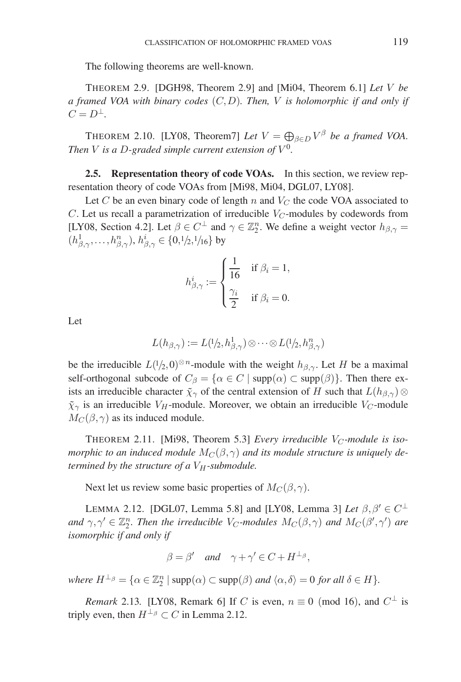The following theorems are well-known.

THEOREM 2.9. [DGH98, Theorem 2.9] and [Mi04, Theorem 6.1] *Let* V *be a framed VOA with binary codes* (C,D)*. Then,* V *is holomorphic if and only if*  $C = D^{\perp}$ .

THEOREM 2.10. [LY08, Theorem7] *Let*  $V = \bigoplus_{\beta \in D} V^{\beta}$  *be a framed VOA*. *Then V* is a D-graded simple current extension of  $V^0$ .

**2.5. Representation theory of code VOAs.** In this section, we review representation theory of code VOAs from [Mi98, Mi04, DGL07, LY08].

Let C be an even binary code of length n and  $V_C$  the code VOA associated to  $C$ . Let us recall a parametrization of irreducible  $V_C$ -modules by codewords from [LY08, Section 4.2]. Let  $\beta \in C^{\perp}$  and  $\gamma \in \mathbb{Z}_{2}^{n}$ . We define a weight vector  $h_{\beta,\gamma} =$  $(h_{\beta,\gamma}^1, \ldots, h_{\beta,\gamma}^n), h_{\beta,\gamma}^i \in \{0, \frac{1}{2}, \frac{1}{16}\}$  by

$$
h_{\beta,\gamma}^{i} := \begin{cases} \frac{1}{16} & \text{if } \beta_{i} = 1, \\ \frac{\gamma_{i}}{2} & \text{if } \beta_{i} = 0. \end{cases}
$$

Let

$$
L(h_{\beta,\gamma}) := L(1/2, h_{\beta,\gamma}^1) \otimes \cdots \otimes L(1/2, h_{\beta,\gamma}^n)
$$

be the irreducible  $L(1/2,0)^{\otimes n}$ -module with the weight  $h_{\beta,\gamma}$ . Let H be a maximal self-orthogonal subcode of  $C_\beta = \{ \alpha \in C \mid \text{supp}(\alpha) \subset \text{supp}(\beta) \}.$  Then there exists an irreducible character  $\tilde{\chi}_{\gamma}$  of the central extension of H such that  $L(h_{\beta,\gamma})\otimes$  $\tilde{\chi}_{\gamma}$  is an irreducible  $V_H$ -module. Moreover, we obtain an irreducible  $V_C$ -module  $M_C(\beta, \gamma)$  as its induced module.

THEOREM 2.11. [Mi98, Theorem 5.3] *Every irreducible V<sub>C</sub>-module is isomorphic to an induced module*  $M_C(\beta, \gamma)$  *and its module structure is uniquely determined by the structure of a*  $V_H$ *-submodule.* 

Next let us review some basic properties of  $M_C(\beta, \gamma)$ .

LEMMA 2.12. [DGL07, Lemma 5.8] and [LY08, Lemma 3] *Let*  $\beta, \beta' \in C^{\perp}$ and  $\gamma, \gamma' \in \mathbb{Z}_2^n$ . Then the irreducible V<sub>C</sub>-modules  $M_C(\beta, \gamma)$  and  $M_C(\beta', \gamma')$  are *isomorphic if and only if*

$$
\beta = \beta' \quad and \quad \gamma + \gamma' \in C + H^{\perp_{\beta}},
$$

*where*  $H^{\perp_{\beta}} = \{ \alpha \in \mathbb{Z}_{2}^{n} \mid \text{supp}(\alpha) \subset \text{supp}(\beta) \text{ and } \langle \alpha, \delta \rangle = 0 \text{ for all } \delta \in H \}.$ 

*Remark* 2.13. [LY08, Remark 6] If C is even,  $n \equiv 0 \pmod{16}$ , and  $C^{\perp}$  is triply even, then  $H^{\perp_{\beta}} \subset C$  in Lemma 2.12.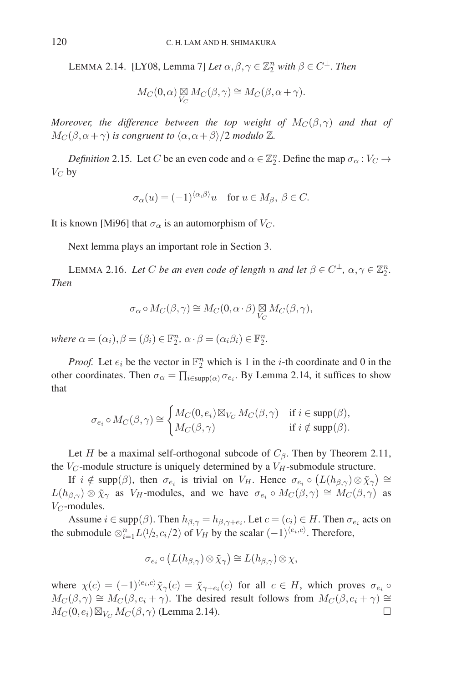LEMMA 2.14. [LY08, Lemma 7] *Let*  $\alpha, \beta, \gamma \in \mathbb{Z}_2^n$  *with*  $\beta \in C^{\perp}$ *. Then* 

$$
M_C(0,\alpha) \underset{V_C}{\boxtimes} M_C(\beta,\gamma) \cong M_C(\beta,\alpha+\gamma).
$$

*Moreover, the difference between the top weight of*  $M_C(\beta, \gamma)$  *and that of*  $M_C(\beta, \alpha + \gamma)$  *is congruent to*  $\langle \alpha, \alpha + \beta \rangle/2$  *modulo*  $\mathbb{Z}$ *.* 

*Definition* 2.15. Let C be an even code and  $\alpha \in \mathbb{Z}_2^n$ . Define the map  $\sigma_{\alpha}: V_C \to V_C$  $V_C$  by

$$
\sigma_{\alpha}(u) = (-1)^{\langle \alpha, \beta \rangle} u \quad \text{for } u \in M_{\beta}, \ \beta \in C.
$$

It is known [Mi96] that  $\sigma_{\alpha}$  is an automorphism of  $V_C$ .

Next lemma plays an important role in Section 3.

LEMMA 2.16. *Let* C *be an even code of length* n *and let*  $\beta \in C^{\perp}$ ,  $\alpha, \gamma \in \mathbb{Z}_{2}^{n}$ . *Then*

$$
\sigma_{\alpha} \circ M_C(\beta, \gamma) \cong M_C(0, \alpha \cdot \beta) \underset{V_C}{\boxtimes} M_C(\beta, \gamma),
$$

*where*  $\alpha = (\alpha_i), \beta = (\beta_i) \in \mathbb{F}_2^n$ ,  $\alpha \cdot \beta = (\alpha_i \beta_i) \in \mathbb{F}_2^n$ .

*Proof.* Let  $e_i$  be the vector in  $\mathbb{F}_2^n$  which is 1 in the *i*-th coordinate and 0 in the other coordinates. Then  $\sigma_{\alpha} = \prod_{i \in \text{supp}(\alpha)} \sigma_{e_i}$ . By Lemma 2.14, it suffices to show that

$$
\sigma_{e_i} \circ M_C(\beta, \gamma) \cong \begin{cases} M_C(0, e_i) \boxtimes_{V_C} M_C(\beta, \gamma) & \text{if } i \in \text{supp}(\beta), \\ M_C(\beta, \gamma) & \text{if } i \notin \text{supp}(\beta). \end{cases}
$$

Let H be a maximal self-orthogonal subcode of  $C_\beta$ . Then by Theorem 2.11, the  $V_C$ -module structure is uniquely determined by a  $V_H$ -submodule structure.

If  $i \notin \text{supp}(\beta)$ , then  $\sigma_{e_i}$  is trivial on  $V_H$ . Hence  $\sigma_{e_i} \circ (L(h_{\beta,\gamma}) \otimes \tilde{\chi}_{\gamma}) \cong$  $L(h_{\beta,\gamma}) \otimes \tilde{\chi}_{\gamma}$  as  $V_H$ -modules, and we have  $\sigma_{e_i} \circ M_C(\beta,\gamma) \cong M_C(\beta,\gamma)$  as  $V_C$ -modules.

Assume  $i \in \text{supp}(\beta)$ . Then  $h_{\beta,\gamma} = h_{\beta,\gamma+e_i}$ . Let  $c = (c_i) \in H$ . Then  $\sigma_{e_i}$  acts on the submodule  $\otimes_{i=1}^n L(1/2, c_i/2)$  of  $V_H$  by the scalar  $(-1)^{\langle e_i, c \rangle}$ . Therefore,

$$
\sigma_{e_i} \circ (L(h_{\beta,\gamma}) \otimes \tilde{\chi}_{\gamma}) \cong L(h_{\beta,\gamma}) \otimes \chi,
$$

where  $\chi(c) = (-1)^{\langle e_i, c \rangle} \tilde{\chi}_\gamma(c) = \tilde{\chi}_{\gamma + e_i}(c)$  for all  $c \in H$ , which proves  $\sigma_{e_i} \circ$  $M_C(\beta, \gamma) \cong M_C(\beta, e_i + \gamma)$ . The desired result follows from  $M_C(\beta, e_i + \gamma) \cong$  $M_C(0, e_i) \boxtimes_{V_C} M_C(\beta, \gamma)$  (Lemma 2.14).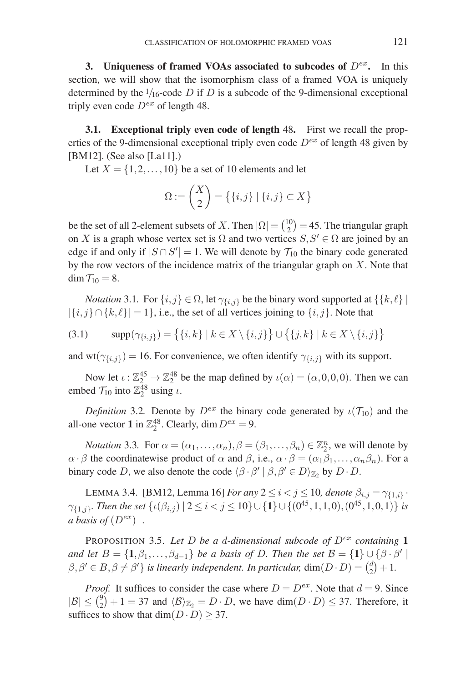**3.** Uniqueness of framed VOAs associated to subcodes of  $D^{ex}$ . In this section, we will show that the isomorphism class of a framed VOA is uniquely determined by the  $1/16$ -code D if D is a subcode of the 9-dimensional exceptional triply even code  $D^{ex}$  of length 48.

**3.1. Exceptional triply even code of length** 48**.** First we recall the properties of the 9-dimensional exceptional triply even code  $D^{ex}$  of length 48 given by [BM12]. (See also [La11].)

Let  $X = \{1, 2, \ldots, 10\}$  be a set of 10 elements and let

$$
\Omega := \binom{X}{2} = \{ \{i, j\} \mid \{i, j\} \subset X \}
$$

be the set of all 2-element subsets of X. Then  $|\Omega| = \binom{10}{2} = 45$ . The triangular graph on X is a graph whose vertex set is  $\Omega$  and two vertices  $S, S' \in \Omega$  are joined by an edge if and only if  $|S \cap S'| = 1$ . We will denote by  $\mathcal{T}_{10}$  the binary code generated by the row vectors of the incidence matrix of the triangular graph on  $X$ . Note that dim  $\mathcal{T}_{10} = 8$ .

*Notation* 3.1. For  $\{i, j\} \in \Omega$ , let  $\gamma_{\{i, j\}}$  be the binary word supported at  $\{\{k, \ell\} \mid$  $|\{i,j\} \cap \{k,\ell\}| = 1\}$ , i.e., the set of all vertices joining to  $\{i,j\}$ . Note that

(3.1) 
$$
\text{supp}(\gamma_{\{i,j\}}) = \{ \{i,k\} \mid k \in X \setminus \{i,j\} \} \cup \{ \{j,k\} \mid k \in X \setminus \{i,j\} \}
$$

and wt( $\gamma_{\{i,j\}}$ ) = 16. For convenience, we often identify  $\gamma_{\{i,j\}}$  with its support.

Now let  $\iota : \mathbb{Z}_2^{45} \to \mathbb{Z}_2^{48}$  be the map defined by  $\iota(\alpha) = (\alpha, 0, 0, 0)$ . Then we can embed  $\mathcal{T}_{10}$  into  $\mathbb{Z}_2^{\overline{4}8}$  using  $\iota$ .

*Definition* 3.2. Denote by  $D^{ex}$  the binary code generated by  $\iota(\mathcal{T}_{10})$  and the all-one vector **1** in  $\mathbb{Z}_2^{48}$ . Clearly, dim  $D^{ex} = 9$ .

*Notation* 3.3. For  $\alpha = (\alpha_1, \dots, \alpha_n), \beta = (\beta_1, \dots, \beta_n) \in \mathbb{Z}_2^n$ , we will denote by  $\alpha \cdot \beta$  the coordinatewise product of  $\alpha$  and  $\beta$ , i.e.,  $\alpha \cdot \beta = (\alpha_1 \beta_1, \dots, \alpha_n \beta_n)$ . For a binary code D, we also denote the code  $(\beta \cdot \beta' | \beta, \beta' \in D)_{\mathbb{Z}_2}$  by  $D \cdot D$ .

LEMMA 3.4. [BM12, Lemma 16] *For any*  $2 \le i < j \le 10$ *, denote*  $\beta_{i,j} = \gamma_{\{1,i\}}$ .  $\gamma_{\{1,j\}}$ *. Then the set*  $\{\iota(\beta_{i,j}) \mid 2 \leq i < j \leq 10\} \cup \{1\} \cup \{(0^{45},1,1,0), (0^{45},1,0,1)\}$  *is a basis of*  $(D^{ex})^{\perp}$ .

PROPOSITION 3.5. Let D be a d-dimensional subcode of  $D^{ex}$  containing 1 *and let*  $B = \{1, \beta_1, \ldots, \beta_{d-1}\}$  *be a basis of* D. Then the set  $B = \{1\} \cup \{\beta \cdot \beta' \mid$  $\beta, \beta' \in B, \beta \neq \beta'$  is linearly independent. In particular, dim $(D \cdot D) = {d \choose 2} + 1$ .

*Proof.* It suffices to consider the case where  $D = D^{ex}$ . Note that  $d = 9$ . Since  $|\mathcal{B}| \leq {9 \choose 2} + 1 = 37$  and  $\langle \mathcal{B} \rangle_{\mathbb{Z}_2} = D \cdot D$ , we have  $\dim(D \cdot D) \leq 37$ . Therefore, it suffices to show that  $\dim(D \cdot D) \geq 37$ .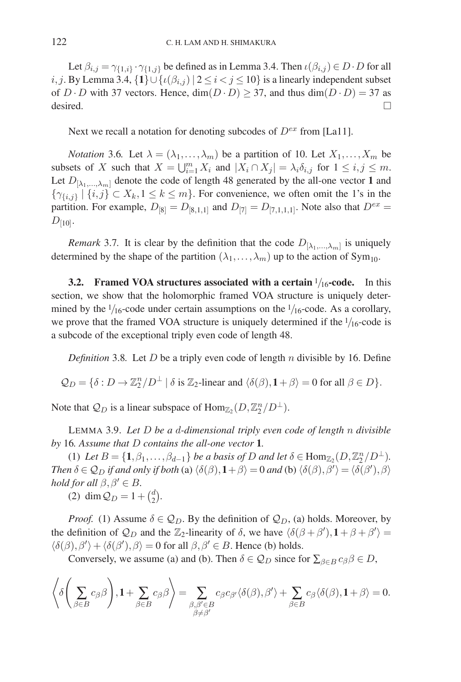Let  $\beta_{i,j} = \gamma_{\{1,i\}} \cdot \gamma_{\{1,j\}}$  be defined as in Lemma 3.4. Then  $\iota(\beta_{i,j}) \in D \cdot D$  for all i, j. By Lemma 3.4,  $\{1\} \cup \{ \iota(\beta_{i,j}) \mid 2 \leq i < j \leq 10 \}$  is a linearly independent subset of  $D \cdot D$  with 37 vectors. Hence,  $\dim(D \cdot D) \geq 37$ , and thus  $\dim(D \cdot D) = 37$  as desired.  $\Box$ 

Next we recall a notation for denoting subcodes of  $D^{ex}$  from [La11].

*Notation* 3.6*.* Let  $\lambda = (\lambda_1, ..., \lambda_m)$  be a partition of 10*.* Let  $X_1, ..., X_m$  be subsets of X such that  $X = \bigcup_{i=1}^{m} X_i$  and  $|X_i \cap X_j| = \lambda_i \delta_{i,j}$  for  $1 \le i, j \le m$ . Let  $D_{[\lambda_1,...,\lambda_m]}$  denote the code of length 48 generated by the all-one vector 1 and  ${\gamma_{i,j}} | \{i,j\} \subset X_k, 1 \leq k \leq m\}$ . For convenience, we often omit the 1's in the partition. For example,  $D_{[8]} = D_{[8,1,1]}$  and  $D_{[7]} = D_{[7,1,1,1]}$ . Note also that  $D^{ex} =$  $D_{[10]}$ .

*Remark* 3.7. It is clear by the definition that the code  $D_{[\lambda_1,...,\lambda_m]}$  is uniquely determined by the shape of the partition  $(\lambda_1, \dots, \lambda_m)$  up to the action of Sym<sub>10</sub>.

**3.2. Framed VOA structures associated with a certain**  $1/16$ **-code.** In this section, we show that the holomorphic framed VOA structure is uniquely determined by the  $\frac{1}{16}$ -code under certain assumptions on the  $\frac{1}{16}$ -code. As a corollary, we prove that the framed VOA structure is uniquely determined if the  $1/16$ -code is a subcode of the exceptional triply even code of length 48.

*Definition* 3.8. Let *D* be a triply even code of length *n* divisible by 16. Define

 $\mathcal{Q}_D = \{\delta : D \to \mathbb{Z}_2^n / D^{\perp} \mid \delta \text{ is } \mathbb{Z}_2\text{-linear and } \langle \delta(\beta), \mathbf{1} + \beta \rangle = 0 \text{ for all } \beta \in D\}.$ 

Note that  $Q_D$  is a linear subspace of  $\text{Hom}_{\mathbb{Z}_2}(D,\mathbb{Z}_2^n/D^{\perp}).$ 

LEMMA 3.9. *Let* D *be a* d*-dimensional triply even code of length* n *divisible by* 16*. Assume that* D *contains the all-one vector* **1***.*

(1) Let  $B = \{1, \beta_1, \ldots, \beta_{d-1}\}$  *be a basis of* D *and let*  $\delta \in \text{Hom}_{\mathbb{Z}_2}(D, \mathbb{Z}_2^n / D^{\perp})$ *. Then*  $\delta \in \mathcal{Q}_D$  *if and only if both* (a)  $\langle \delta(\beta), 1 + \beta \rangle = 0$  *and* (b)  $\langle \delta(\beta), \beta' \rangle = \langle \delta(\beta'), \beta \rangle$ *hold for all*  $\beta, \beta' \in B$ .

(2) dim  $Q_D = 1 + {d \choose 2}$ .

*Proof.* (1) Assume  $\delta \in \mathcal{Q}_D$ . By the definition of  $\mathcal{Q}_D$ , (a) holds. Moreover, by the definition of  $\mathcal{Q}_D$  and the  $\mathbb{Z}_2$ -linearity of  $\delta$ , we have  $\langle \delta(\beta + \beta'), \mathbf{1} + \beta + \beta' \rangle =$  $\langle \delta(\beta), \beta' \rangle + \langle \delta(\beta'), \beta \rangle = 0$  for all  $\beta, \beta' \in B$ . Hence (b) holds.

Conversely, we assume (a) and (b). Then  $\delta \in \mathcal{Q}_D$  since for  $\sum_{\beta \in B} c_{\beta} \beta \in D$ ,

$$
\left\langle \delta \left( \sum_{\beta \in B} c_{\beta} \beta \right), 1 + \sum_{\beta \in B} c_{\beta} \beta \right\rangle = \sum_{\substack{\beta, \beta' \in B \\ \beta \neq \beta'}} c_{\beta} c_{\beta'} \langle \delta(\beta), \beta' \rangle + \sum_{\beta \in B} c_{\beta} \langle \delta(\beta), 1 + \beta \rangle = 0.
$$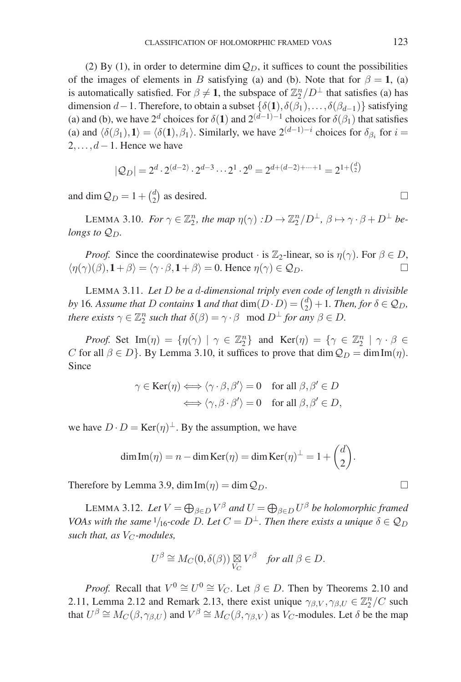(2) By (1), in order to determine dim  $Q_D$ , it suffices to count the possibilities of the images of elements in B satisfying (a) and (b). Note that for  $\beta = 1$ , (a) is automatically satisfied. For  $\beta \neq 1$ , the subspace of  $\mathbb{Z}_2^n/D^{\perp}$  that satisfies (a) has dimension  $d-1$ . Therefore, to obtain a subset  $\{\delta(1), \delta(\beta_1), \ldots, \delta(\beta_{d-1})\}$  satisfying (a) and (b), we have  $2^d$  choices for  $\delta(1)$  and  $2^{(d-1)-1}$  choices for  $\delta(\beta_1)$  that satisfies (a) and  $\langle \delta(\beta_1), \mathbf{1} \rangle = \langle \delta(\mathbf{1}), \beta_1 \rangle$ . Similarly, we have  $2^{(d-1)-i}$  choices for  $\delta_{\beta_i}$  for  $i =$  $2, \ldots, d-1$ . Hence we have

$$
|Q_D| = 2^d \cdot 2^{(d-2)} \cdot 2^{d-3} \cdots 2^1 \cdot 2^0 = 2^{d + (d-2) + \cdots + 1} = 2^{1 + \binom{d}{2}}
$$

and dim  $Q_D = 1 + \binom{d}{2}$  as desired.

LEMMA 3.10. *For*  $\gamma \in \mathbb{Z}_2^n$ , the map  $\eta(\gamma) : D \to \mathbb{Z}_2^n / D^{\perp}$ ,  $\beta \mapsto \gamma \cdot \beta + D^{\perp}$  be*longs to*  $\mathcal{Q}_D$ *.* 

*Proof.* Since the coordinatewise product  $\cdot$  is  $\mathbb{Z}_2$ -linear, so is  $\eta(\gamma)$ . For  $\beta \in D$ ,  $\langle \eta(\gamma)(\beta), \mathbf{1} + \beta \rangle = \langle \gamma \cdot \beta, \mathbf{1} + \beta \rangle = 0$ . Hence  $\eta(\gamma) \in \mathcal{Q}_D$ .

LEMMA 3.11. *Let* D *be a* d*-dimensional triply even code of length* n *divisible* by 16*. Assume that* D *contains* **1** *and that*  $\dim(D \cdot D) = \binom{d}{2} + 1$ *. Then, for*  $\delta \in \mathcal{Q}_D$ *, there exists*  $\gamma \in \mathbb{Z}_2^n$  *such that*  $\delta(\beta) = \gamma \cdot \beta \mod D^{\perp}$  *for any*  $\beta \in D$ *.* 

*Proof.* Set  $\text{Im}(\eta) = {\eta(\gamma) \mid \gamma \in \mathbb{Z}_2^n}$  and  $\text{Ker}(\eta) = {\gamma \in \mathbb{Z}_2^n \mid \gamma \cdot \beta \in \mathbb{Z}_2^n}$ C for all  $\beta \in D$ . By Lemma 3.10, it suffices to prove that dim  $\mathcal{Q}_D = \dim \text{Im}(\eta)$ . Since

$$
\gamma \in \text{Ker}(\eta) \Longleftrightarrow \langle \gamma \cdot \beta, \beta' \rangle = 0 \quad \text{for all } \beta, \beta' \in D
$$

$$
\iff \langle \gamma, \beta \cdot \beta' \rangle = 0 \quad \text{for all } \beta, \beta' \in D,
$$

we have  $D \cdot D = \text{Ker}(\eta)^{\perp}$ . By the assumption, we have

$$
\dim \mathrm{Im}(\eta) = n - \dim \mathrm{Ker}(\eta) = \dim \mathrm{Ker}(\eta)^{\perp} = 1 + \binom{d}{2}.
$$

Therefore by Lemma 3.9, dim Im( $\eta$ ) = dim  $\mathcal{Q}_D$ .

LEMMA 3.12. Let  $V = \bigoplus_{\beta \in D} V^{\beta}$  and  $U = \bigoplus_{\beta \in D} U^{\beta}$  be holomorphic framed *VOAs with the same* <sup>1</sup>/<sub>16</sub>-code D. Let  $C = D^{\perp}$ . Then there exists a unique  $\delta \in \mathcal{Q}_D$ *such that, as*  $V_C$ -modules,

$$
U^{\beta} \cong M_C(0,\delta(\beta)) \underset{V_C}{\boxtimes} V^{\beta} \quad \text{for all } \beta \in D.
$$

*Proof.* Recall that  $V^0 \cong U^0 \cong V_C$ . Let  $\beta \in D$ . Then by Theorems 2.10 and 2.11, Lemma 2.12 and Remark 2.13, there exist unique  $\gamma_{\beta,V}, \gamma_{\beta,U} \in \mathbb{Z}_2^n/C$  such that  $U^{\beta} \cong M_C(\beta, \gamma_{\beta,U})$  and  $V^{\beta} \cong M_C(\beta, \gamma_{\beta,V})$  as  $V_C$ -modules. Let  $\delta$  be the map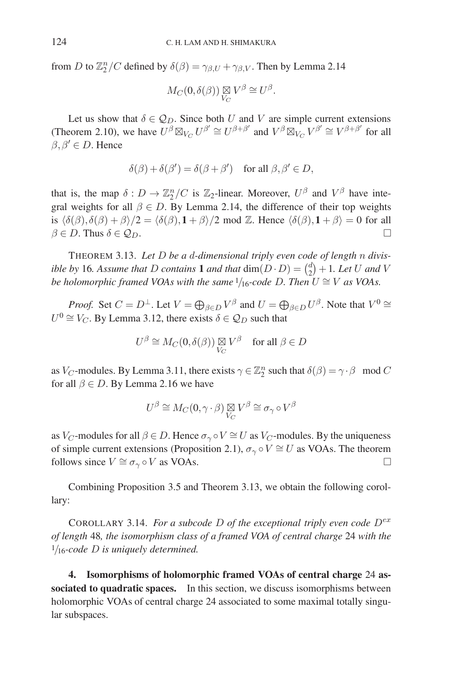from D to  $\mathbb{Z}_2^n/C$  defined by  $\delta(\beta) = \gamma_{\beta,U} + \gamma_{\beta,V}$ . Then by Lemma 2.14

$$
M_C(0,\delta(\beta))\underset{V_C}{\boxtimes} V^{\beta}\cong U^{\beta}.
$$

Let us show that  $\delta \in \mathcal{Q}_D$ . Since both U and V are simple current extensions (Theorem 2.10), we have  $U^{\beta} \boxtimes_{V_C} U^{\beta'} \cong U^{\beta+\beta'}$  and  $V^{\beta} \boxtimes_{V_C} V^{\beta'} \cong V^{\beta+\beta'}$  for all  $\beta, \beta' \in D$ . Hence

$$
\delta(\beta) + \delta(\beta') = \delta(\beta + \beta') \quad \text{for all } \beta, \beta' \in D,
$$

that is, the map  $\delta: D \to \mathbb{Z}_2^n/C$  is  $\mathbb{Z}_2$ -linear. Moreover,  $U^{\beta}$  and  $V^{\beta}$  have integral weights for all  $\beta \in D$ . By Lemma 2.14, the difference of their top weights is  $\langle \delta(\beta), \delta(\beta) + \beta \rangle/2 = \langle \delta(\beta), \mathbf{1} + \beta \rangle/2$  mod Z. Hence  $\langle \delta(\beta), \mathbf{1} + \beta \rangle = 0$  for all  $\beta \in D$ . Thus  $\delta \in \mathcal{Q}_D$ .

THEOREM 3.13. *Let* D *be a* d*-dimensional triply even code of length* n *divisible by* 16*. Assume that* D *contains* **1** *and that*  $\dim(D \cdot D) = \binom{d}{2} + 1$ *. Let* U *and* V *be holomorphic framed VOAs with the same*  $1/16$ -code D. Then  $U \cong V$  as VOAs.

*Proof.* Set  $C = D^{\perp}$ . Let  $V = \bigoplus_{\beta \in D} V^{\beta}$  and  $U = \bigoplus_{\beta \in D} U^{\beta}$ . Note that  $V^0 \cong$  $U^0 \cong V_C$ . By Lemma 3.12, there exists  $\delta \in \mathcal{Q}_D$  such that

$$
U^{\beta} \cong M_C(0, \delta(\beta)) \underset{V_C}{\boxtimes} V^{\beta} \quad \text{for all } \beta \in D
$$

as V<sub>C</sub>-modules. By Lemma 3.11, there exists  $\gamma \in \mathbb{Z}_2^n$  such that  $\delta(\beta) = \gamma \cdot \beta \mod C$ for all  $\beta \in D$ . By Lemma 2.16 we have

$$
U^{\beta} \cong M_C(0,\gamma\cdot \beta) \mathop{\boxtimes}\limits_{V_C} V^{\beta} \cong \sigma_{\gamma} \circ V^{\beta}
$$

as  $V_C$ -modules for all  $\beta \in D$ . Hence  $\sigma_{\gamma} \circ V \cong U$  as  $V_C$ -modules. By the uniqueness of simple current extensions (Proposition 2.1),  $\sigma_{\gamma} \circ V \cong U$  as VOAs. The theorem follows since  $V \cong \sigma_{\gamma} \circ V$  as VOAs.

Combining Proposition 3.5 and Theorem 3.13, we obtain the following corollary:

COROLLARY 3.14. *For a subcode* D *of the exceptional triply even code* Dex *of length* 48*, the isomorphism class of a framed VOA of central charge* 24 *with the* <sup>1</sup>/16*-code* D *is uniquely determined.*

**4. Isomorphisms of holomorphic framed VOAs of central charge** 24 **associated to quadratic spaces.** In this section, we discuss isomorphisms between holomorphic VOAs of central charge 24 associated to some maximal totally singular subspaces.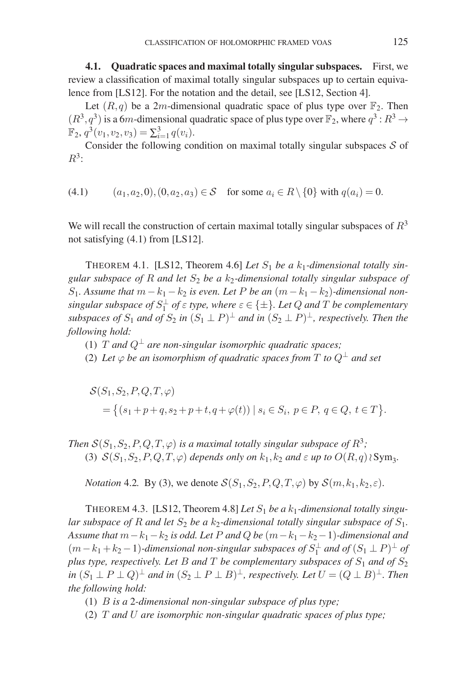**4.1. Quadratic spaces and maximal totally singular subspaces.** First, we review a classification of maximal totally singular subspaces up to certain equivalence from [LS12]. For the notation and the detail, see [LS12, Section 4].

Let  $(R, q)$  be a 2m-dimensional quadratic space of plus type over  $\mathbb{F}_2$ . Then  $(R^3,q^3)$  is a 6m-dimensional quadratic space of plus type over  $\mathbb{F}_2$ , where  $q^3: R^3 \to$  $\mathbb{F}_2$ ,  $q^3(v_1, v_2, v_3) = \sum_{i=1}^3 q(v_i)$ .

Consider the following condition on maximal totally singular subspaces  $S$  of  $R^3$ :

(4.1) 
$$
(a_1, a_2, 0), (0, a_2, a_3) \in S
$$
 for some  $a_i \in R \setminus \{0\}$  with  $q(a_i) = 0$ .

We will recall the construction of certain maximal totally singular subspaces of  $R<sup>3</sup>$ not satisfying (4.1) from [LS12].

THEOREM 4.1. [LS12, Theorem 4.6] Let  $S_1$  be a  $k_1$ -dimensional totally sin*gular subspace of*  $R$  *and let*  $S_2$  *be a*  $k_2$ -dimensional totally singular subspace of S<sub>1</sub>. Assume that  $m - k_1 - k_2$  is even. Let P be an  $(m - k_1 - k_2)$ -dimensional non $s$ *ingular subspace of*  $S_1^{\perp}$  *of*  $\varepsilon$  *type, where*  $\varepsilon \in \{\pm\}$ *. Let*  $Q$  *and*  $T$  *be complementary subspaces of*  $S_1$  *and of*  $S_2$  *in*  $(S_1 \perp P)^{\perp}$  *and in*  $(S_2 \perp P)^{\perp}$ *, respectively. Then the following hold:*

- (1)  $T$  and  $Q^{\perp}$  are non-singular isomorphic quadratic spaces;
- (2) Let  $\varphi$  *be an isomorphism of quadratic spaces from* T *to*  $Q^{\perp}$  *and set*

$$
S(S_1, S_2, P, Q, T, \varphi)
$$
  
= {(s<sub>1</sub> + p + q, s<sub>2</sub> + p + t, q + \varphi(t)) | s<sub>i</sub> \in S<sub>i</sub>, p \in P, q \in Q, t \in T}.

*Then*  $S(S_1, S_2, P, Q, T, \varphi)$  *is a maximal totally singular subspace of*  $R^3$ ; (3)  $S(S_1, S_2, P, Q, T, \varphi)$  *depends only on*  $k_1, k_2$  *and*  $\varepsilon$  *up to*  $O(R, q)$  *sym<sub>3</sub>*.

*Notation* 4.2. By (3), we denote  $S(S_1, S_2, P, Q, T, \varphi)$  by  $S(m, k_1, k_2, \varepsilon)$ .

THEOREM 4.3. [LS12, Theorem 4.8] Let  $S_1$  be a  $k_1$ -dimensional totally singu*lar subspace of* R *and let*  $S_2$  *be a*  $k_2$ -dimensional totally singular subspace of  $S_1$ *. Assume that*  $m-k_1-k_2$  *is odd. Let* P *and*  $Q$  *be*  $(m-k_1-k_2-1)$ *-dimensional and*  $(m-k_1+k_2-1)$ -dimensional non-singular subspaces of  $S_1^{\perp}$  and of  $(S_1 \perp P)^{\perp}$  of *plus type, respectively. Let* B *and* T *be complementary subspaces of*  $S_1$  *and of*  $S_2$ *in*  $(S_1 \perp P \perp Q)^{\perp}$  *and in*  $(S_2 \perp P \perp B)^{\perp}$ *, respectively. Let*  $U = (Q \perp B)^{\perp}$ *. Then the following hold:*

- (1) B *is a* 2*-dimensional non-singular subspace of plus type;*
- (2) T *and* U *are isomorphic non-singular quadratic spaces of plus type;*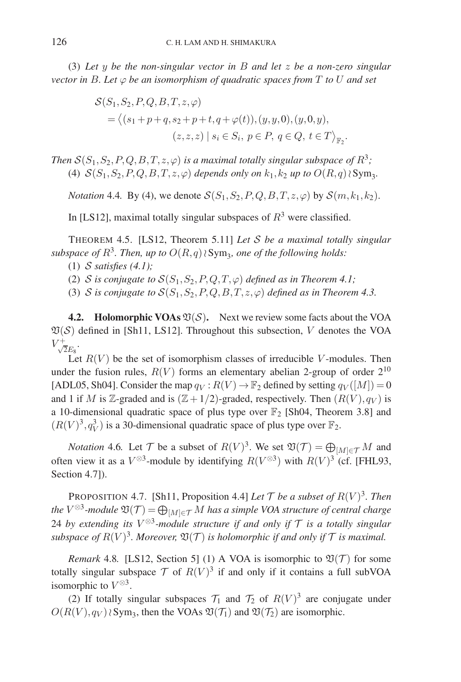(3) *Let* y *be the non-singular vector in* B *and let* z *be a non-zero singular vector in*  $B$ *. Let*  $\varphi$  *be an isomorphism of quadratic spaces from*  $T$  *to*  $U$  *and set* 

$$
\begin{aligned} \mathcal{S}(S_1, S_2, P, Q, B, T, z, \varphi) \\ &= \left\langle (s_1 + p + q, s_2 + p + t, q + \varphi(t)), (y, y, 0), (y, 0, y), (z, z, z) \mid s_i \in S_i, \ p \in P, \ q \in Q, \ t \in T \right\rangle_{\mathbb{F}_2}. \end{aligned}
$$

*Then*  $S(S_1, S_2, P, Q, B, T, z, \varphi)$  *is a maximal totally singular subspace of*  $R^3$ ; (4)  $S(S_1, S_2, P, Q, B, T, z, \varphi)$  *depends only on*  $k_1, k_2$  *up to*  $O(R, q)$  *sym<sub>3</sub>*.

*Notation* 4.4*.* By (4), we denote  $S(S_1, S_2, P, Q, B, T, z, \varphi)$  by  $S(m, k_1, k_2)$ .

In [LS12], maximal totally singular subspaces of  $R^3$  were classified.

THEOREM 4.5. [LS12, Theorem 5.11] *Let* S *be a maximal totally singular subspace of*  $R^3$ *. Then, up to*  $O(R,q)$ *\Sym<sub>3</sub>, one of the following holds:* 

- (1) S *satisfies (4.1);*
- (2) S is conjugate to  $S(S_1, S_2, P, Q, T, \varphi)$  defined as in Theorem 4.1;
- (3) S is conjugate to  $S(S_1, S_2, P, Q, B, T, z, \varphi)$  defined as in Theorem 4.3.

**4.2. Holomorphic VOAs**  $\mathfrak{V}(\mathcal{S})$ . Next we review some facts about the VOA  $\mathfrak{V}(\mathcal{S})$  defined in [Sh11, LS12]. Throughout this subsection, V denotes the VOA  $V_{\sqrt{2}E_8}^+$ .

Let  $R(V)$  be the set of isomorphism classes of irreducible V-modules. Then under the fusion rules,  $R(V)$  forms an elementary abelian 2-group of order  $2^{10}$ [ADL05, Sh04]. Consider the map  $q_V : R(V) \to \mathbb{F}_2$  defined by setting  $q_V([M]) = 0$ and 1 if M is Z-graded and is  $(\mathbb{Z}+1/2)$ -graded, respectively. Then  $(R(V), q_V)$  is a 10-dimensional quadratic space of plus type over  $\mathbb{F}_2$  [Sh04, Theorem 3.8] and  $(R(V)^3, q_V^3)$  is a 30-dimensional quadratic space of plus type over  $\mathbb{F}_2$ .

*Notation* 4.6. Let  $\mathcal{T}$  be a subset of  $R(V)^3$ . We set  $\mathfrak{V}(\mathcal{T}) = \bigoplus_{[M] \in \mathcal{T}} M$  and often view it as a  $V^{\otimes 3}$ -module by identifying  $R(V^{\otimes 3})$  with  $R(V)^3$  (cf. [FHL93, Section 4.7]).

PROPOSITION 4.7. [Sh11, Proposition 4.4] *Let*  $\mathcal T$  *be a subset of*  $R(V)^3$ *. Then* the  $V^{\otimes 3}$ -module  $\mathfrak{V}(\mathcal{T}) = \bigoplus_{[M]\in\mathcal{T}} M$  has a simple VOA structure of central charge 24 by extending its  $V^{\otimes 3}$ -module structure if and only if  $T$  *is a totally singular subspace of*  $R(V)^3$ *. Moreover,*  $\mathfrak{V}(\mathcal{T})$  *is holomorphic if and only if*  $\mathcal T$  *is maximal.* 

*Remark* 4.8. [LS12, Section 5] (1) A VOA is isomorphic to  $\mathfrak{V}(\mathcal{T})$  for some totally singular subspace  $T$  of  $R(V)^3$  if and only if it contains a full subVOA isomorphic to  $V^{\otimes 3}$ .

(2) If totally singular subspaces  $\mathcal{T}_1$  and  $\mathcal{T}_2$  of  $R(V)^3$  are conjugate under  $O(R(V), q_V)$  (Sym<sub>3</sub>, then the VOAs  $\mathfrak{V}(\mathcal{T}_1)$  and  $\mathfrak{V}(\mathcal{T}_2)$  are isomorphic.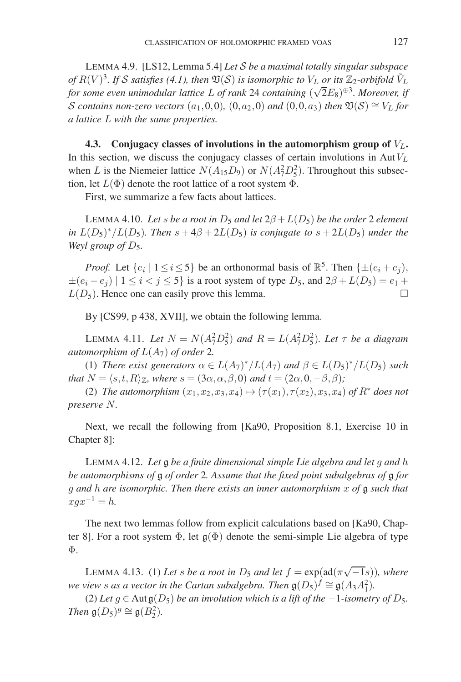LEMMA 4.9. [LS12, Lemma 5.4] *Let* S *be a maximal totally singular subspace* of  $R(V)^3$ . If  ${\cal S}$  satisfies (4.1), then  $\mathfrak{V}({\cal S})$  is isomorphic to  $V_L$  or its  $\mathbb{Z}_2$ -orbifold  $\tilde{V}_L$ *for some even unimodular lattice* L *of rank* 24 *containing* (  $\sqrt{2}E_8$ )<sup>⊕3</sup>. Moreover, if S contains non-zero vectors  $(a_1,0,0)$ ,  $(0,a_2,0)$  and  $(0,0,a_3)$  then  $\mathfrak{V}(S) \cong V_L$  for *a lattice* L *with the same properties.*

**4.3.** Conjugacy classes of involutions in the automorphism group of  $V_L$ . In this section, we discuss the conjugacy classes of certain involutions in Aut $V_L$ when L is the Niemeier lattice  $N(A_{15}D_9)$  or  $N(A_7^2D_5^2)$ . Throughout this subsection, let  $L(\Phi)$  denote the root lattice of a root system  $\Phi$ .

First, we summarize a few facts about lattices.

LEMMA 4.10. *Let* s *be a root in*  $D_5$  *and let*  $2\beta + L(D_5)$  *be the order* 2 *element in*  $L(D_5)^*/L(D_5)$ *. Then*  $s + 4\beta + 2L(D_5)$  *is conjugate to*  $s + 2L(D_5)$  *under the Weyl group of D<sub>5</sub>.* 

*Proof.* Let  $\{e_i | 1 \le i \le 5\}$  be an orthonormal basis of  $\mathbb{R}^5$ . Then  $\{\pm (e_i + e_i),\}$  $\pm (e_i - e_j)$  |  $1 \le i < j \le 5$ } is a root system of type  $D_5$ , and  $2\beta + L(D_5) = e_1 +$  $L(D_5)$ . Hence one can easily prove this lemma.

By [CS99, p 438, XVII], we obtain the following lemma.

LEMMA 4.11. Let  $N = N(A_7^2 D_5^2)$  and  $R = L(A_7^2 D_5^2)$ . Let  $\tau$  be a diagram *automorphism of*  $L(A_7)$  *of order* 2*.* 

(1) *There exist generators*  $\alpha \in L(A_7)^*/L(A_7)$  *and*  $\beta \in L(D_5)^*/L(D_5)$  *such that*  $N = \langle s, t, R \rangle_{\mathbb{Z}}$ *, where*  $s = (3\alpha, \alpha, \beta, 0)$  *and*  $t = (2\alpha, 0, -\beta, \beta)$ *;* 

(2) *The automorphism*  $(x_1, x_2, x_3, x_4) \mapsto (\tau(x_1), \tau(x_2), x_3, x_4)$  *of*  $R^*$  *does not preserve* N*.*

Next, we recall the following from [Ka90, Proposition 8.1, Exercise 10 in Chapter 8]:

LEMMA 4.12. *Let* g *be a finite dimensional simple Lie algebra and let* g *and* h *be automorphisms of* g *of order* 2*. Assume that the fixed point subalgebras of* g *for* g *and* h *are isomorphic. Then there exists an inner automorphism* x *of* g *such that*  $xgx^{-1} = h.$ 

The next two lemmas follow from explicit calculations based on [Ka90, Chapter 8]. For a root system  $\Phi$ , let  $\mathfrak{g}(\Phi)$  denote the semi-simple Lie algebra of type Φ.

LEMMA 4.13. (1) Let *s* be a root in D<sub>5</sub> and let  $f = \exp(\text{ad}(\pi\sqrt{-1}s))$ , where *we view s as a vector in the Cartan subalgebra. Then*  $\mathfrak{g}(D_5)^f \cong \mathfrak{g}(A_3A_1^2)$ *.* 

(2) *Let*  $g \in$  Aut $g(D_5)$  *be an involution which is a lift of the* −1*-isometry of*  $D_5$ *. Then*  $\mathfrak{g}(D_5)^g \cong \mathfrak{g}(B_2^2)$ *.*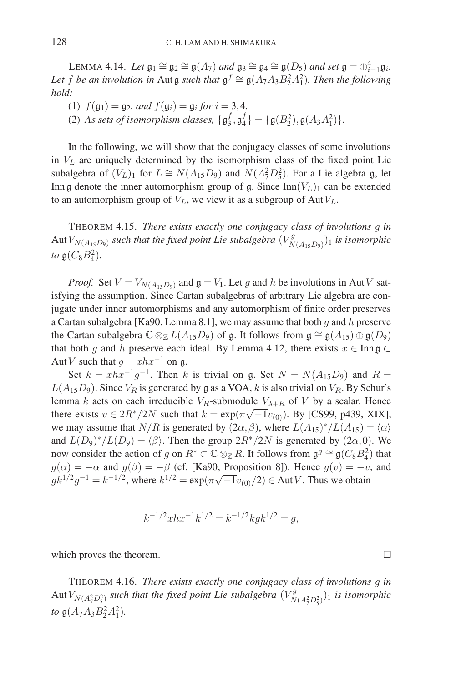LEMMA 4.14. *Let*  $\mathfrak{g}_1 \cong \mathfrak{g}_2 \cong \mathfrak{g}(A_7)$  *and*  $\mathfrak{g}_3 \cong \mathfrak{g}_4 \cong \mathfrak{g}(D_5)$  *and set*  $\mathfrak{g} = \bigoplus_{i=1}^4 \mathfrak{g}_i$ *. Let* f *be an involution in* Autg *such that*  $\mathfrak{g}^f \cong \mathfrak{g}(A_7A_3B_2^2A_1^2)$ *. Then the following hold:*

- (1)  $f(\mathfrak{g}_1) = \mathfrak{g}_2$ *, and*  $f(\mathfrak{g}_i) = \mathfrak{g}_i$  *for*  $i = 3, 4$ *.*
- (2) As sets of isomorphism classes,  $\{ \mathfrak{g}_3^f, \mathfrak{g}_4^f \} = \{ \mathfrak{g}(B_2^2), \mathfrak{g}(A_3A_1^2) \}.$

In the following, we will show that the conjugacy classes of some involutions in  $V<sub>L</sub>$  are uniquely determined by the isomorphism class of the fixed point Lie subalgebra of  $(V_L)$ <sub>1</sub> for  $L \cong N(A_{15}D_9)$  and  $N(A_7^2D_5^2)$ . For a Lie algebra g, let Inng denote the inner automorphism group of g. Since  $\text{Inn}(V_L)$ <sub>1</sub> can be extended to an automorphism group of  $V_L$ , we view it as a subgroup of Aut $V_L$ .

THEOREM 4.15. *There exists exactly one conjugacy class of involutions* g *in* Aut  $V_{N(A_{15}D_9)}$  such that the fixed point Lie subalgebra  $(V_{N(A_{15}D_9)}^g)$ <sub>1</sub> is isomorphic *to*  $\mathfrak{g}(C_8B_4^2)$ *.* 

*Proof.* Set  $V = V_{N(A_1, D_9)}$  and  $\mathfrak{g} = V_1$ . Let g and h be involutions in Aut V satisfying the assumption. Since Cartan subalgebras of arbitrary Lie algebra are conjugate under inner automorphisms and any automorphism of finite order preserves a Cartan subalgebra [Ka90, Lemma 8.1], we may assume that both  $g$  and  $h$  preserve the Cartan subalgebra  $\mathbb{C} \otimes_{\mathbb{Z}} L(A_{15}D_9)$  of g. It follows from  $\mathfrak{g} \cong \mathfrak{g}(A_{15}) \oplus \mathfrak{g}(D_9)$ that both g and h preserve each ideal. By Lemma 4.12, there exists  $x \in \text{Inng } \subset$ Aut V such that  $g = xhx^{-1}$  on g.

Set  $k = xhx^{-1}g^{-1}$ . Then k is trivial on g. Set  $N = N(A_{15}D_9)$  and  $R =$  $L(A_{15}D_9)$ . Since  $V_R$  is generated by g as a VOA, k is also trivial on  $V_R$ . By Schur's lemma k acts on each irreducible  $V_R$ -submodule  $V_{\lambda+R}$  of V by a scalar. Hence there exists  $v \in 2R^*/2N$  such that  $k = \exp(\pi \sqrt{-1}v_{(0)})$ . By [CS99, p439, XIX], we may assume that  $N/R$  is generated by  $(2\alpha, \beta)$ , where  $L(A_{15})^*/L(A_{15}) = \langle \alpha \rangle$ and  $L(D_9)^*/L(D_9) = \langle \beta \rangle$ . Then the group  $2R*/2N$  is generated by  $(2\alpha, 0)$ . We now consider the action of g on  $R^* \subset \mathbb{C} \otimes_{\mathbb{Z}} R$ . It follows from  $\mathfrak{g}^g \cong \mathfrak{g}(C_8B_4^2)$  that  $g(\alpha) = -\alpha$  and  $g(\beta) = -\beta$  (cf. [Ka90, Proposition 8]). Hence  $g(v) = -v$ , and  $g(x) = -\alpha$  and  $g(\beta) = -\beta$  (cf. [Ka90, Froposition 8]). Hence  $g(\nu) = -\nu$ ,<br>  $g k^{1/2} g^{-1} = k^{-1/2}$ , where  $k^{1/2} = \exp(\pi \sqrt{-1} v_{(0)}/2) \in$  Aut V. Thus we obtain

$$
k^{-1/2}xhx^{-1}k^{1/2} = k^{-1/2}kgk^{1/2} = g,
$$

which proves the theorem.  $\Box$ 

THEOREM 4.16. *There exists exactly one conjugacy class of involutions* g *in* Aut  $V_{N(A_7^2D_5^2)}$  such that the fixed point Lie subalgebra  $(V_{N(A_7^2D_5^2)}^g)$  is isomorphic *to*  $\mathfrak{g}(A_7A_3B_2^2A_1^2)$ .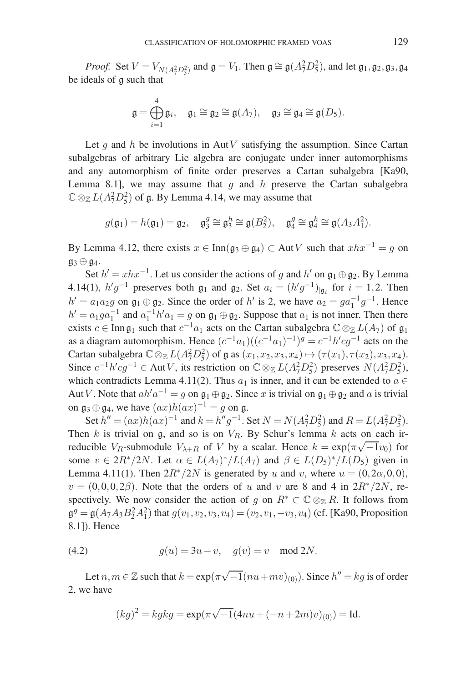*Proof.* Set  $V = V_{N(A_7^2 D_5^2)}$  and  $\mathfrak{g} = V_1$ . Then  $\mathfrak{g} \cong \mathfrak{g}(A_7^2 D_5^2)$ , and let  $\mathfrak{g}_1, \mathfrak{g}_2, \mathfrak{g}_3, \mathfrak{g}_4$ be ideals of g such that

$$
\mathfrak{g}=\bigoplus_{i=1}^4 \mathfrak{g}_i, \quad \mathfrak{g}_1\cong \mathfrak{g}_2\cong \mathfrak{g}(A_7), \quad \mathfrak{g}_3\cong \mathfrak{g}_4\cong \mathfrak{g}(D_5).
$$

Let  $g$  and  $h$  be involutions in AutV satisfying the assumption. Since Cartan subalgebras of arbitrary Lie algebra are conjugate under inner automorphisms and any automorphism of finite order preserves a Cartan subalgebra [Ka90, Lemma 8.1], we may assume that  $g$  and  $h$  preserve the Cartan subalgebra  $\mathbb{C} \otimes_{\mathbb{Z}} L(A_7^2 D_5^2)$  of  $\mathfrak{g}$ . By Lemma 4.14, we may assume that

$$
g(\mathfrak{g}_1) = h(\mathfrak{g}_1) = \mathfrak{g}_2
$$
,  $\mathfrak{g}_3^g \cong \mathfrak{g}_3^h \cong \mathfrak{g}(B_2^2)$ ,  $\mathfrak{g}_4^g \cong \mathfrak{g}_4^h \cong \mathfrak{g}(A_3A_1^2)$ .

By Lemma 4.12, there exists  $x \in \text{Inn}(\mathfrak{g}_3 \oplus \mathfrak{g}_4) \subset \text{Aut } V$  such that  $xhx^{-1} = q$  on  $\mathfrak{g}_3 \oplus \mathfrak{g}_4.$ 

Set  $h' = xhx^{-1}$ . Let us consider the actions of g and  $h'$  on  $\mathfrak{g}_1 \oplus \mathfrak{g}_2$ . By Lemma 4.14(1),  $h'g^{-1}$  preserves both  $\mathfrak{g}_1$  and  $\mathfrak{g}_2$ . Set  $a_i = (h'g^{-1})_{|\mathfrak{g}_i|}$  for  $i = 1, 2$ . Then  $h' = a_1 a_2 g$  on  $\mathfrak{g}_1 \oplus \mathfrak{g}_2$ . Since the order of h' is 2, we have  $a_2 = g a_1^{-1} g^{-1}$ . Hence  $h' = a_1 g a_1^{-1}$  and  $a_1^{-1} h' a_1 = g$  on  $\mathfrak{g}_1 \oplus \mathfrak{g}_2$ . Suppose that  $a_1$  is not inner. Then there exists  $c \in \text{Inn } \mathfrak{g}_1$  such that  $c^{-1}a_1$  acts on the Cartan subalgebra  $\mathbb{C} \otimes_{\mathbb{Z}} L(A_7)$  of  $\mathfrak{g}_1$ as a diagram automorphism. Hence  $(c^{-1}a_1)((c^{-1}a_1)^{-1})^g = c^{-1}h'cg^{-1}$  acts on the Cartan subalgebra  $\mathbb{C} \otimes_{\mathbb{Z}} L(A_7^2 D_5^2)$  of  $\mathfrak{g}$  as  $(x_1, x_2, x_3, x_4) \mapsto (\tau(x_1), \tau(x_2), x_3, x_4)$ . Since  $c^{-1}h'cg^{-1} \in \text{Aut } V$ , its restriction on  $\mathbb{C} \otimes_{\mathbb{Z}} L(A_7^2D_5^2)$  preserves  $N(A_7^2D_5^2)$ , which contradicts Lemma 4.11(2). Thus  $a_1$  is inner, and it can be extended to  $a \in$ Aut V. Note that  $ah'a^{-1} = g$  on  $\mathfrak{g}_1 \oplus \mathfrak{g}_2$ . Since x is trivial on  $\mathfrak{g}_1 \oplus \mathfrak{g}_2$  and a is trivial on  $\mathfrak{g}_3 \oplus \mathfrak{g}_4$ , we have  $(ax)h(ax)^{-1} = g$  on  $\mathfrak{g}$ .

Set  $h'' = (ax)h(ax)^{-1}$  and  $k = h''g^{-1}$ . Set  $N = N(A_7^2D_5^2)$  and  $R = L(A_7^2D_5^2)$ . Then k is trivial on  $g$ , and so is on  $V_R$ . By Schur's lemma k acts on each irrhen  $\kappa$  is trivial on  $\mathfrak{g}$ , and so is on  $v_R$ . By send s remina  $\kappa$  acts on each n-<br>reducible  $V_R$ -submodule  $V_{\lambda+R}$  of V by a scalar. Hence  $k = \exp(\pi \sqrt{-1}v_0)$  for some  $v \in 2R^*/2N$ . Let  $\alpha \in L(A_7)^*/L(A_7)$  and  $\beta \in L(D_5)^*/L(D_5)$  given in Lemma 4.11(1). Then  $2R^*/2N$  is generated by u and v, where  $u = (0, 2\alpha, 0, 0)$ ,  $v = (0,0,0,2\beta)$ . Note that the orders of u and v are 8 and 4 in  $2R^*/2N$ , respectively. We now consider the action of g on  $R^* \subset \mathbb{C} \otimes_{\mathbb{Z}} R$ . It follows from  $\mathfrak{g}^g = \mathfrak{g}(A_7A_3B_2^2A_1^2)$  that  $g(v_1, v_2, v_3, v_4) = (v_2, v_1, -v_3, v_4)$  (cf. [Ka90, Proposition 8.1]). Hence

(4.2) 
$$
g(u) = 3u - v, \quad g(v) = v \mod 2N.
$$

Let  $n, m \in \mathbb{Z}$  such that  $k = \exp(\pi \sqrt{-1}(nu + mv)_{(0)})$ . Since  $h'' = kg$  is of order 2, we have

$$
(kg)^{2} = kgkg = \exp(\pi \sqrt{-1}(4nu + (-n + 2m)v)_{(0)}) = \text{Id}.
$$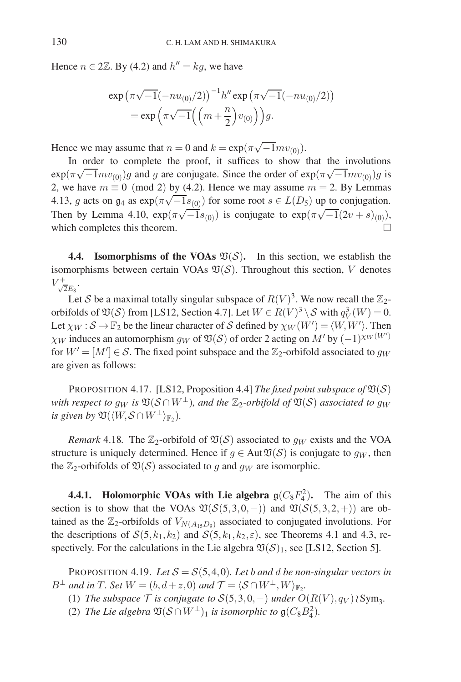Hence  $n \in 2\mathbb{Z}$ . By (4.2) and  $h'' = kg$ , we have

$$
\exp\left(\pi\sqrt{-1}(-nu_{(0)}/2)\right)^{-1}h''\exp\left(\pi\sqrt{-1}(-nu_{(0)}/2)\right)
$$
  
= 
$$
\exp\left(\pi\sqrt{-1}\left(\left(m+\frac{n}{2}\right)v_{(0)}\right)\right)g.
$$

Hence we may assume that  $n = 0$  and  $k = \exp(\pi \sqrt{-1} m v_{(0)})$ .

In order to complete the proof, it suffices to show that the involutions  $\exp(\pi\sqrt{-1}mv_{(0)})g$  and g are conjugate. Since the order of  $\exp(\pi\sqrt{-1}mv_{(0)})g$  is 2, we have  $m \equiv 0 \pmod{2}$  by (4.2). Hence we may assume  $m = 2$ . By Lemmas 4.13, g acts on  $g_4$  as  $\exp(\pi \sqrt{-1} s_{(0)})$  for some root  $s \in L(D_5)$  up to conjugation. Then by Lemma 4.10,  $\exp(\pi \sqrt{-1} s_{(0)})$  is conjugate to  $\exp(\pi \sqrt{-1}(2v + s)_{(0)})$ , which completes this theorem.

**4.4. Isomorphisms of the VOAs**  $\mathfrak{V}(\mathcal{S})$ . In this section, we establish the isomorphisms between certain VOAs  $\mathfrak{V}(\mathcal{S})$ . Throughout this section, V denotes  $V_{\sqrt{2}E_8}^+$ .

Let S be a maximal totally singular subspace of  $R(V)^3$ . We now recall the  $\mathbb{Z}_2$ orbifolds of  $\mathfrak{V}(\mathcal{S})$  from [LS12, Section 4.7]. Let  $W \in R(V)^3 \setminus \mathcal{S}$  with  $q_V^3(W) = 0$ . Let  $\chi_W : \mathcal{S} \to \mathbb{F}_2$  be the linear character of S defined by  $\chi_W(W') = \langle W, W' \rangle$ . Then  $\chi_W$  induces an automorphism g<sub>W</sub> of  $\mathfrak{V}(\mathcal{S})$  of order 2 acting on M' by  $(-1)^{\chi_W(W')}$ for  $W' = [M'] \in \mathcal{S}$ . The fixed point subspace and the  $\mathbb{Z}_2$ -orbifold associated to  $g_W$ are given as follows:

PROPOSITION 4.17. [LS12, Proposition 4.4] *The fixed point subspace of*  $\mathfrak{V}(\mathcal{S})$ *with respect to*  $g_W$  *is*  $\mathfrak{V}(\mathcal{S} \cap W^{\perp})$ *, and the*  $\mathbb{Z}_2$ *-orbifold of*  $\mathfrak{V}(\mathcal{S})$  *associated to*  $g_W$ *is given by*  $\mathfrak{V}(\langle W, \mathcal{S} \cap W^{\perp} \rangle_{\mathbb{F}_2}).$ 

*Remark* 4.18*.* The  $\mathbb{Z}_2$ -orbifold of  $\mathfrak{V}(S)$  associated to  $g_W$  exists and the VOA structure is uniquely determined. Hence if  $g \in \text{Aut } \mathfrak{V}(\mathcal{S})$  is conjugate to  $g_W$ , then the  $\mathbb{Z}_2$ -orbifolds of  $\mathfrak{V}(\mathcal{S})$  associated to g and g<sub>W</sub> are isomorphic.

**4.4.1. Holomorphic VOAs with Lie algebra**  $g(C_8F_4^2)$ **.** The aim of this section is to show that the VOAs  $\mathfrak{V}(S(5,3,0,-))$  and  $\mathfrak{V}(S(5,3,2,+))$  are obtained as the  $\mathbb{Z}_2$ -orbifolds of  $V_{N(A_1, D_9)}$  associated to conjugated involutions. For the descriptions of  $S(5, k_1, k_2)$  and  $S(5, k_1, k_2, \varepsilon)$ , see Theorems 4.1 and 4.3, respectively. For the calculations in the Lie algebra  $\mathfrak{V}(\mathcal{S})_1$ , see [LS12, Section 5].

PROPOSITION 4.19. Let  $S = S(5, 4, 0)$ . Let b and d be non-singular vectors in  $B^{\perp}$  *and in* T. Set  $W = (b, d + z, 0)$  *and*  $\mathcal{T} = \langle \mathcal{S} \cap W^{\perp}, W \rangle_{\mathbb{F}_2}$ .

(1) *The subspace*  $\mathcal T$  *is conjugate to*  $S(5,3,0,-)$  *under*  $O(R(V), q_V)$  (Sym<sub>3</sub>.

(2) *The Lie algebra*  $\mathfrak{V}(\mathcal{S} \cap W^{\perp})_1$  *is isomorphic to*  $\mathfrak{g}(C_8B_4^2)$ *.*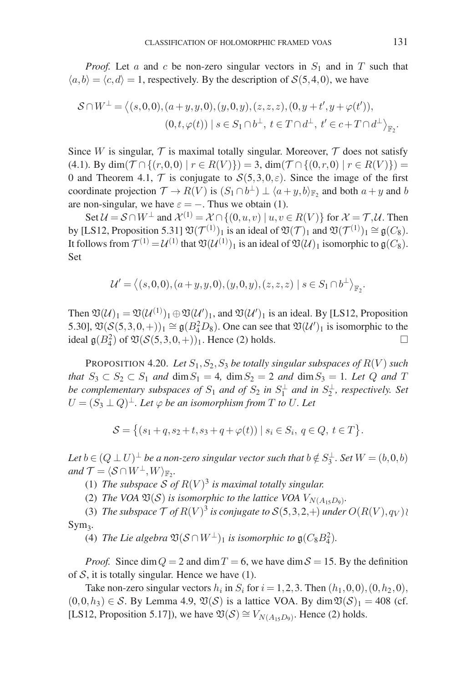*Proof.* Let a and c be non-zero singular vectors in  $S_1$  and in T such that  $\langle a, b \rangle = \langle c, d \rangle = 1$ , respectively. By the description of  $\mathcal{S}(5, 4, 0)$ , we have

$$
\mathcal{S} \cap W^{\perp} = \langle (s, 0, 0), (a+y, y, 0), (y, 0, y), (z, z, z), (0, y+t', y+\varphi(t')),(0, t, \varphi(t)) \mid s \in S_1 \cap b^{\perp}, t \in T \cap d^{\perp}, t' \in c+T \cap d^{\perp} \rangle_{\mathbb{F}_2}.
$$

Since W is singular,  $\mathcal T$  is maximal totally singular. Moreover,  $\mathcal T$  does not satisfy (4.1). By  $\dim(\mathcal{T} \cap \{(r,0,0) \mid r \in R(V)\}) = 3$ ,  $\dim(\mathcal{T} \cap \{(0,r,0) \mid r \in R(V)\}) =$ 0 and Theorem 4.1,  $\mathcal T$  is conjugate to  $\mathcal S(5,3,0,\varepsilon)$ . Since the image of the first coordinate projection  $\mathcal{T} \to R(V)$  is  $(S_1 \cap b^{\perp}) \perp \langle a+y, b \rangle_{\mathbb{F}}$ , and both  $a+y$  and b are non-singular, we have  $\varepsilon = -$ . Thus we obtain (1).

Set  $U = S \cap W^{\perp}$  and  $\mathcal{X}^{(1)} = \mathcal{X} \cap \{(0, u, v) \mid u, v \in R(V)\}\)$  for  $\mathcal{X} = \mathcal{T}, \mathcal{U}$ . Then by [LS12, Proposition 5.31]  $\mathfrak{V}(\mathcal{T}^{(1)})_1$  is an ideal of  $\mathfrak{V}(\mathcal{T})_1$  and  $\mathfrak{V}(\mathcal{T}^{(1)})_1 \cong \mathfrak{g}(C_8)$ . It follows from  $\mathcal{T}^{(1)} = \mathcal{U}^{(1)}$  that  $\mathfrak{V}(\mathcal{U}^{(1)})_1$  is an ideal of  $\mathfrak{V}(\mathcal{U})_1$  isomorphic to  $\mathfrak{g}(C_8)$ . Set

$$
\mathcal{U}' = \langle (s,0,0), (a+y,y,0), (y,0,y), (z,z,z) \mid s \in S_1 \cap b^{\perp} \rangle_{\mathbb{F}_2}.
$$

Then  $\mathfrak{V}(\mathcal{U})_1 = \mathfrak{V}(\mathcal{U}^{(1)})_1 \oplus \mathfrak{V}(\mathcal{U}')_1$ , and  $\mathfrak{V}(\mathcal{U}')_1$  is an ideal. By [LS12, Proposition 5.30],  $\mathfrak{V}(\mathcal{S}(5,3,0,+))_1 \cong \mathfrak{g}(B_4^2D_8)$ . One can see that  $\mathfrak{V}(\mathcal{U}')_1$  is isomorphic to the ideal  $\mathfrak{g}(B_4^2)$  of  $\mathfrak{V}(\mathcal{S}(5,3,0,+))_1$ . Hence (2) holds.

PROPOSITION 4.20. *Let*  $S_1, S_2, S_3$  *be totally singular subspaces of*  $R(V)$  *such that*  $S_3 \subset S_2 \subset S_1$  *and*  $\dim S_1 = 4$ *,*  $\dim S_2 = 2$  *and*  $\dim S_3 = 1$ *. Let* Q *and* T *be complementary subspaces of*  $S_1$  *and of*  $S_2$  *in*  $S_1^{\perp}$  *and in*  $S_2^{\perp}$ *, respectively. Set*  $U = (S_3 \perp Q)^{\perp}$ . Let  $\varphi$  be an isomorphism from T to U. Let

$$
S = \{(s_1 + q, s_2 + t, s_3 + q + \varphi(t)) \mid s_i \in S_i, q \in Q, t \in T\}.
$$

Let  $b \in (Q \perp U)^{\perp}$  *be a non-zero singular vector such that*  $b \notin S_3^{\perp}$ *. Set*  $W = (b, 0, b)$ *and*  $\mathcal{T} = \langle \mathcal{S} \cap W^{\perp}, W \rangle_{\mathbb{F}_2}$ *.* 

(1) *The subspace* S of  $R(V)^3$  *is maximal totally singular.* 

(2) *The VOA*  $\mathfrak{V}(S)$  *is isomorphic to the lattice VOA*  $V_{N(A_1, D_0)}$ *.* 

(3) *The subspace*  $\mathcal{T}$  *of*  $R(V)^3$  *is conjugate to*  $S(5,3,2,+)$  *under*  $O(R(V), q_V)$ *l* Sym<sub>3</sub>.

(4) *The Lie algebra*  $\mathfrak{V}(\mathcal{S} \cap W^{\perp})_1$  *is isomorphic to*  $\mathfrak{g}(C_8B_4^2)$ *.* 

*Proof.* Since dim  $Q = 2$  and dim  $T = 6$ , we have dim  $S = 15$ . By the definition of  $S$ , it is totally singular. Hence we have (1).

Take non-zero singular vectors  $h_i$  in  $S_i$  for  $i = 1, 2, 3$ . Then  $(h_1, 0, 0), (0, h_2, 0)$ ,  $(0,0,h_3) \in S$ . By Lemma 4.9,  $\mathfrak{V}(S)$  is a lattice VOA. By dim  $\mathfrak{V}(S)_1 = 408$  (cf. [LS12, Proposition 5.17]), we have  $\mathfrak{V}(\mathcal{S}) \cong V_{N(A_1, D_0)}$ . Hence (2) holds.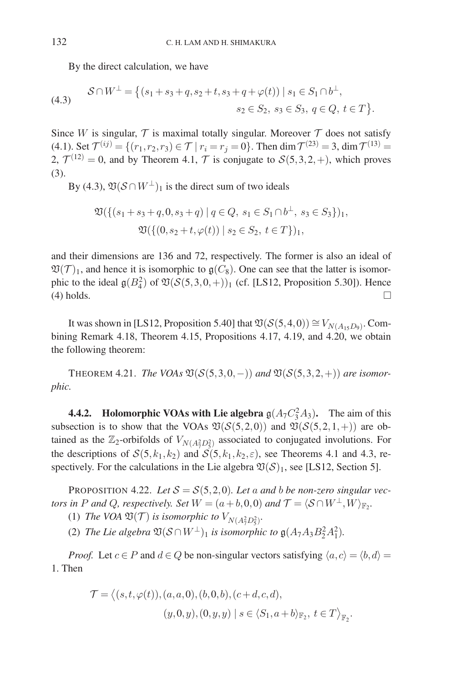By the direct calculation, we have

(4.3) 
$$
\mathcal{S} \cap W^{\perp} = \left\{ (s_1 + s_3 + q, s_2 + t, s_3 + q + \varphi(t)) \mid s_1 \in S_1 \cap b^{\perp}, \right\}
$$

$$
s_2 \in S_2, s_3 \in S_3, q \in Q, t \in T \right\}.
$$

Since W is singular,  $\mathcal T$  is maximal totally singular. Moreover  $\mathcal T$  does not satisfy (4.1). Set  $\mathcal{T}^{(ij)} = \{(r_1, r_2, r_3) \in \mathcal{T} \mid r_i = r_j = 0\}$ . Then dim  $\mathcal{T}^{(23)} = 3$ , dim  $\mathcal{T}^{(13)} =$ 2,  $\mathcal{T}^{(12)} = 0$ , and by Theorem 4.1,  $\mathcal{T}$  is conjugate to  $\mathcal{S}(5,3,2,+)$ , which proves (3).

By (4.3),  $\mathfrak{V}(\mathcal{S} \cap W^{\perp})_1$  is the direct sum of two ideals

$$
\mathfrak{V}(\{(s_1 + s_3 + q, 0, s_3 + q) \mid q \in Q, s_1 \in S_1 \cap b^{\perp}, s_3 \in S_3\})_1, \mathfrak{V}(\{(0, s_2 + t, \varphi(t)) \mid s_2 \in S_2, t \in T\})_1,
$$

and their dimensions are 136 and 72, respectively. The former is also an ideal of  $\mathfrak{V}(\mathcal{T})_1$ , and hence it is isomorphic to  $\mathfrak{g}(C_8)$ . One can see that the latter is isomorphic to the ideal  $\mathfrak{g}(B_4^2)$  of  $\mathfrak{V}(\mathcal{S}(5,3,0,+))_1$  (cf. [LS12, Proposition 5.30]). Hence  $(4)$  holds.

It was shown in [LS12, Proposition 5.40] that  $\mathfrak{V}(\mathcal{S}(5,4,0)) \cong V_{N(A_1,5D_9)}$ . Combining Remark 4.18, Theorem 4.15, Propositions 4.17, 4.19, and 4.20, we obtain the following theorem:

THEOREM 4.21. *The VOAs*  $\mathfrak{V}(S(5,3,0,-))$  and  $\mathfrak{V}(S(5,3,2,+))$  are isomor*phic.*

**4.4.2. Holomorphic VOAs with Lie algebra**  $\mathfrak{g}(A_7 C_3^2 A_3)$ . The aim of this subsection is to show that the VOAs  $\mathfrak{V}(\mathcal{S}(5,2,0))$  and  $\mathfrak{V}(\mathcal{S}(5,2,1,+))$  are obtained as the  $\mathbb{Z}_2$ -orbifolds of  $V_{N(A_7^2 D_5^2)}$  associated to conjugated involutions. For the descriptions of  $S(5, k_1, k_2)$  and  $S(5, k_1, k_2, \varepsilon)$ , see Theorems 4.1 and 4.3, respectively. For the calculations in the Lie algebra  $\mathfrak{V}(\mathcal{S})_1$ , see [LS12, Section 5].

PROPOSITION 4.22. Let  $S = S(5,2,0)$ . Let a and b be non-zero singular vec*tors in* P *and* Q, respectively. Set  $W = (a+b,0,0)$  *and*  $\mathcal{T} = \langle \mathcal{S} \cap W^{\perp}, W \rangle_{\mathbb{F}_2}$ .

(1) The VOA  $\mathfrak{V}(\mathcal{T})$  is isomorphic to  $V_{N(A_7^2D_5^2)}$ .

(2) *The Lie algebra*  $\mathfrak{V}(\mathcal{S} \cap W^{\perp})_1$  *is isomorphic to*  $\mathfrak{g}(A_7A_3B_2^2A_1^2)$ *.* 

*Proof.* Let  $c \in P$  and  $d \in Q$  be non-singular vectors satisfying  $\langle a, c \rangle = \langle b, d \rangle =$ 1. Then

$$
\mathcal{T} = \langle (s, t, \varphi(t)), (a, a, 0), (b, 0, b), (c + d, c, d), (y, 0, y), (0, y, y) | s \in \langle S_1, a+b \rangle_{\mathbb{F}_2}, t \in T \rangle_{\mathbb{F}_2}.
$$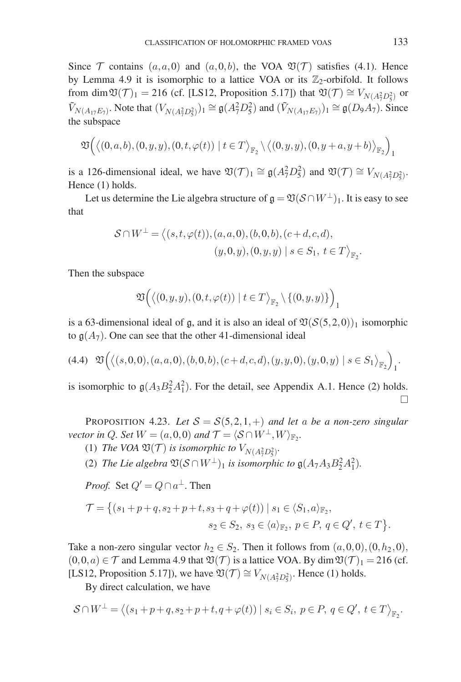Since  $\mathcal T$  contains  $(a, a, 0)$  and  $(a, 0, b)$ , the VOA  $\mathfrak{V}(\mathcal T)$  satisfies (4.1). Hence by Lemma 4.9 it is isomorphic to a lattice VOA or its  $\mathbb{Z}_2$ -orbifold. It follows from dim  $\mathfrak{V}(\mathcal{T})_1 = 216$  (cf. [LS12, Proposition 5.17]) that  $\mathfrak{V}(\mathcal{T}) \cong V_{N(A_7^2 D_5^2)}$  or  $\tilde{V}_{N(A_{17}E_7)}$ . Note that  $(V_{N(A_7^2D_5^2)})_1 \cong \mathfrak{g}(A_7^2D_5^2)$  and  $(\tilde{V}_{N(A_{17}E_7)})_1 \cong \mathfrak{g}(D_9A_7)$ . Since the subspace

$$
\mathfrak{V}\Big(\big\langle (0,a,b), (0,y,y), (0,t,\varphi(t))\mid t\in T\big\rangle_{\mathbb{F}_2}\setminus \big\langle (0,y,y), (0,y+a,y+b)\big\rangle_{\mathbb{F}_2}\Big)_1
$$

is a 126-dimensional ideal, we have  $\mathfrak{V}(\mathcal{T})_1 \cong \mathfrak{g}(A_7^2 D_5^2)$  and  $\mathfrak{V}(\mathcal{T}) \cong V_{N(A_7^2 D_5^2)}$ . Hence (1) holds.

Let us determine the Lie algebra structure of  $\mathfrak{g} = \mathfrak{V}(\mathcal{S} \cap W^{\perp})_1$ . It is easy to see that

$$
\mathcal{S} \cap W^{\perp} = \langle (s, t, \varphi(t)), (a, a, 0), (b, 0, b), (c + d, c, d), (y, 0, y), (0, y, y) | s \in S_1, t \in T \rangle_{\mathbb{F}_2}.
$$

Then the subspace

$$
\mathfrak{V}\Big(\big\langle (0,y,y),(0,t,\varphi(t))\mid t\in T\big\rangle_{\mathbb{F}_2}\setminus\{(0,y,y)\}\Big)_1
$$

is a 63-dimensional ideal of g, and it is also an ideal of  $\mathfrak{D}(\mathcal{S}(5,2,0))_1$  isomorphic to  $g(A_7)$ . One can see that the other 41-dimensional ideal

$$
(4.4) \mathfrak{V}\Big(\big\langle (s,0,0), (a,a,0), (b,0,b), (c+d,c,d), (y,y,0), (y,0,y) \mid s \in S_1 \big\rangle_{\mathbb{F}_2}\Big)_1.
$$

is isomorphic to  $\mathfrak{g}(A_3B_2^2A_1^2)$ . For the detail, see Appendix A.1. Hence (2) holds.  $\Box$ 

PROPOSITION 4.23. Let  $S = S(5,2,1,+)$  and let a be a non-zero singular *vector in Q. Set*  $W = (a, 0, 0)$  *and*  $\mathcal{T} = \langle \mathcal{S} \cap W^{\perp}, W \rangle_{\mathbb{F}_2}$ *.* 

(1) The VOA  $\mathfrak{V}(\mathcal{T})$  is isomorphic to  $V_{N(A_7^2D_5^2)}$ .

(2) *The Lie algebra*  $\mathfrak{V}(\mathcal{S} \cap W^{\perp})_1$  *is isomorphic to*  $\mathfrak{g}(A_7A_3B_2^2A_1^2)$ *.* 

*Proof.* Set  $Q' = Q \cap a^{\perp}$ . Then

$$
\mathcal{T} = \{ (s_1 + p + q, s_2 + p + t, s_3 + q + \varphi(t)) \mid s_1 \in \langle S_1, a \rangle_{\mathbb{F}_2}, s_2 \in S_2, s_3 \in \langle a \rangle_{\mathbb{F}_2}, p \in P, q \in Q', t \in T \}.
$$

Take a non-zero singular vector  $h_2 \in S_2$ . Then it follows from  $(a,0,0), (0,h_2,0),$  $(0,0,a) \in \mathcal{T}$  and Lemma 4.9 that  $\mathfrak{V}(\mathcal{T})$  is a lattice VOA. By dim  $\mathfrak{V}(\mathcal{T})_1 = 216$  (cf. [LS12, Proposition 5.17]), we have  $\mathfrak{V}(\mathcal{T}) \cong V_{N(A_7^2 D_5^2)}$ . Hence (1) holds.

By direct calculation, we have

$$
\mathcal{S} \cap W^{\perp} = \left\langle (s_1 + p + q, s_2 + p + t, q + \varphi(t)) \mid s_i \in S_i, \ p \in P, \ q \in Q', \ t \in T \right\rangle_{\mathbb{F}_2}.
$$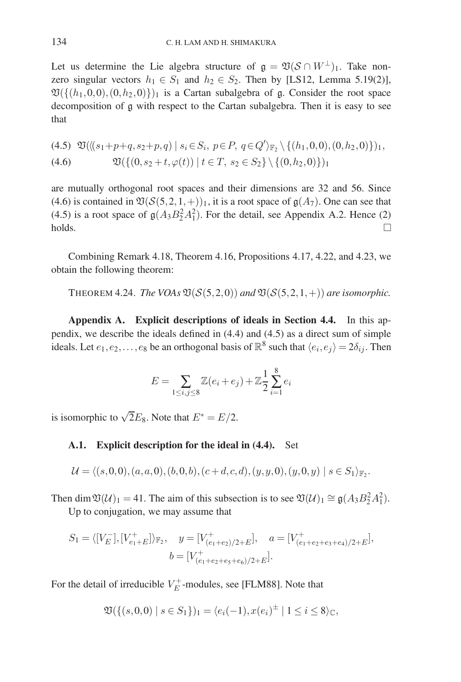Let us determine the Lie algebra structure of  $\mathfrak{g} = \mathfrak{V}(\mathcal{S} \cap W^{\perp})_1$ . Take nonzero singular vectors  $h_1 \in S_1$  and  $h_2 \in S_2$ . Then by [LS12, Lemma 5.19(2)],  $\mathfrak{V}(\{(h_1,0,0),(0,h_2,0)\})_1$  is a Cartan subalgebra of g. Consider the root space decomposition of g with respect to the Cartan subalgebra. Then it is easy to see that

$$
(4.5) \mathfrak{V}(\langle (s_1+p+q, s_2+p, q) \mid s_i \in S_i, p \in P, q \in Q' \rangle_{\mathbb{F}_2} \setminus \{(h_1, 0, 0), (0, h_2, 0)\})_1, (4.6) \mathfrak{V}(\{(0, s_2+t, \varphi(t)) \mid t \in T, s_2 \in S_2\} \setminus \{(0, h_2, 0)\})_1
$$

are mutually orthogonal root spaces and their dimensions are 32 and 56. Since (4.6) is contained in  $\mathfrak{V}(\mathcal{S}(5,2,1,+))_1$ , it is a root space of  $\mathfrak{g}(A_7)$ . One can see that (4.5) is a root space of  $\mathfrak{g}(A_3B_2^2A_1^2)$ . For the detail, see Appendix A.2. Hence (2)  $\Box$ holds.

Combining Remark 4.18, Theorem 4.16, Propositions 4.17, 4.22, and 4.23, we obtain the following theorem:

THEOREM 4.24. *The VOAs*  $\mathfrak{V}(S(5,2,0))$  *and*  $\mathfrak{V}(S(5,2,1,+))$  *are isomorphic.* 

**Appendix A. Explicit descriptions of ideals in Section 4.4.** In this appendix, we describe the ideals defined in (4.4) and (4.5) as a direct sum of simple ideals. Let  $e_1, e_2, \ldots, e_8$  be an orthogonal basis of  $\mathbb{R}^8$  such that  $\langle e_i, e_j \rangle = 2\delta_{ij}$ . Then

$$
E = \sum_{1 \le i,j \le 8} \mathbb{Z}(e_i + e_j) + \mathbb{Z} \frac{1}{2} \sum_{i=1}^8 e_i
$$

is isomorphic to  $\sqrt{2}E_8$ . Note that  $E^* = E/2$ .

## **A.1. Explicit description for the ideal in (4.4).** Set

$$
\mathcal{U}=\langle (s,0,0), (a,a,0), (b,0,b), (c+d,c,d), (y,y,0), (y,0,y) \mid s \in S_1 \rangle_{\mathbb{F}_2}.
$$

Then dim  $\mathfrak{V}(\mathcal{U})_1 = 41$ . The aim of this subsection is to see  $\mathfrak{V}(\mathcal{U})_1 \cong \mathfrak{g}(A_3 B_2^2 A_1^2)$ .

Up to conjugation, we may assume that

$$
S_1 = \langle [V_E^-], [V_{e_1+E}^+] \rangle_{\mathbb{F}_2}, \quad y = [V_{(e_1+e_2)/2+E}^+], \quad a = [V_{(e_1+e_2+e_3+e_4)/2+E}^+],
$$
  

$$
b = [V_{(e_1+e_2+e_5+e_6)/2+E}^+].
$$

For the detail of irreducible  $V_E^+$ -modules, see [FLM88]. Note that

$$
\mathfrak{V}(\{(s,0,0) \mid s \in S_1\})_1 = \langle e_i(-1), x(e_i)^{\pm} \mid 1 \leq i \leq 8 \rangle_{\mathbb{C}},
$$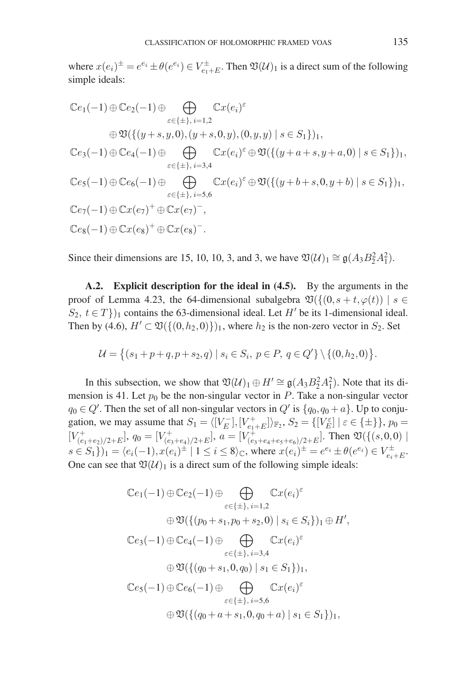where  $x(e_i)^{\pm} = e^{e_i} \pm \theta(e^{e_i}) \in V_{e_1+E}^{\pm}$ . Then  $\mathfrak{V}(\mathcal{U})_1$  is a direct sum of the following simple ideals:

$$
\mathbb{C}e_1(-1) \oplus \mathbb{C}e_2(-1) \oplus \bigoplus_{\varepsilon \in \{\pm\}, i=1,2} \mathbb{C}x(e_i)^{\varepsilon}
$$
  
\n
$$
\oplus \mathfrak{V}(\{(y+s,y,0),(y+s,0,y),(0,y,y) \mid s \in S_1\})_1,
$$
  
\n
$$
\mathbb{C}e_3(-1) \oplus \mathbb{C}e_4(-1) \oplus \bigoplus_{\varepsilon \in \{\pm\}, i=3,4} \mathbb{C}x(e_i)^{\varepsilon} \oplus \mathfrak{V}(\{(y+a+s,y+a,0) \mid s \in S_1\})_1,
$$
  
\n
$$
\mathbb{C}e_5(-1) \oplus \mathbb{C}e_6(-1) \oplus \bigoplus_{\varepsilon \in \{\pm\}, i=5,6} \mathbb{C}x(e_i)^{\varepsilon} \oplus \mathfrak{V}(\{(y+b+s,0,y+b) \mid s \in S_1\})_1,
$$
  
\n
$$
\mathbb{C}e_7(-1) \oplus \mathbb{C}x(e_7)^+ \oplus \mathbb{C}x(e_7)^-,
$$
  
\n
$$
\mathbb{C}e_8(-1) \oplus \mathbb{C}x(e_8)^+ \oplus \mathbb{C}x(e_8)^-.
$$

Since their dimensions are 15, 10, 10, 3, and 3, we have  $\mathfrak{V}(\mathcal{U})_1 \cong \mathfrak{g}(A_3B_2^2A_1^2)$ .

**A.2. Explicit description for the ideal in (4.5).** By the arguments in the proof of Lemma 4.23, the 64-dimensional subalgebra  $\mathfrak{V}(\{(0, s + t, \varphi(t)) \mid s \in$  $S_2, t \in T$ })<sub>1</sub> contains the 63-dimensional ideal. Let H' be its 1-dimensional ideal. Then by (4.6),  $H' \subset \mathfrak{V}(\{(0, h_2, 0)\})_1$ , where  $h_2$  is the non-zero vector in  $S_2$ . Set

$$
\mathcal{U} = \{(s_1 + p + q, p + s_2, q) \mid s_i \in S_i, p \in P, q \in Q'\} \setminus \{(0, h_2, 0)\}.
$$

In this subsection, we show that  $\mathfrak{V}(\mathcal{U})_1 \oplus H' \cong \mathfrak{g}(A_3 B_2^2 A_1^2)$ . Note that its dimension is 41. Let  $p_0$  be the non-singular vector in P. Take a non-singular vector  $q_0 \in Q'$ . Then the set of all non-singular vectors in  $Q'$  is  $\{q_0, q_0 + a\}$ . Up to conjugation, we may assume that  $S_1 = \langle [V_E^-], [V_{e_1+E}^+] \rangle_{\mathbb{F}_2}, S_2 = \{ [V_E^{\varepsilon}] \mid \varepsilon \in {\{\pm\}} \}, p_0 =$  $[V^+_{(e_1+e_2)/2+E}], q_0 = [V^+_{(e_3+e_4)/2+E}], a = [V^+_{(e_3+e_4+e_5+e_6)/2+E}].$  Then  $\mathfrak{V}(\{(s,0,0)\mid$  $s \in S_1$ )  $_1 = \langle e_i(-1), x(e_i)^{\pm} | 1 \le i \le 8 \rangle_{\mathbb{C}}$ , where  $x(e_i)^{\pm} = e^{e_i} \pm \theta(e^{e_i}) \in V_{e_i+E}^{\pm}$ . One can see that  $\mathfrak{V}(\mathcal{U})_1$  is a direct sum of the following simple ideals:

$$
\mathbb{C}e_1(-1) \oplus \mathbb{C}e_2(-1) \oplus \bigoplus_{\varepsilon \in \{\pm\}, i=1,2} \mathbb{C}x(e_i)^{\varepsilon}
$$
  
\n
$$
\oplus \mathfrak{V}(\{(p_0 + s_1, p_0 + s_2, 0) \mid s_i \in S_i\})_1 \oplus H',
$$
  
\n
$$
\mathbb{C}e_3(-1) \oplus \mathbb{C}e_4(-1) \oplus \bigoplus_{\varepsilon \in \{\pm\}, i=3,4} \mathbb{C}x(e_i)^{\varepsilon}
$$
  
\n
$$
\oplus \mathfrak{V}(\{(q_0 + s_1, 0, q_0) \mid s_1 \in S_1\})_1,
$$
  
\n
$$
\mathbb{C}e_5(-1) \oplus \mathbb{C}e_6(-1) \oplus \bigoplus_{\varepsilon \in \{\pm\}, i=5,6} \mathbb{C}x(e_i)^{\varepsilon}
$$
  
\n
$$
\oplus \mathfrak{V}(\{(q_0 + a + s_1, 0, q_0 + a) \mid s_1 \in S_1\})_1,
$$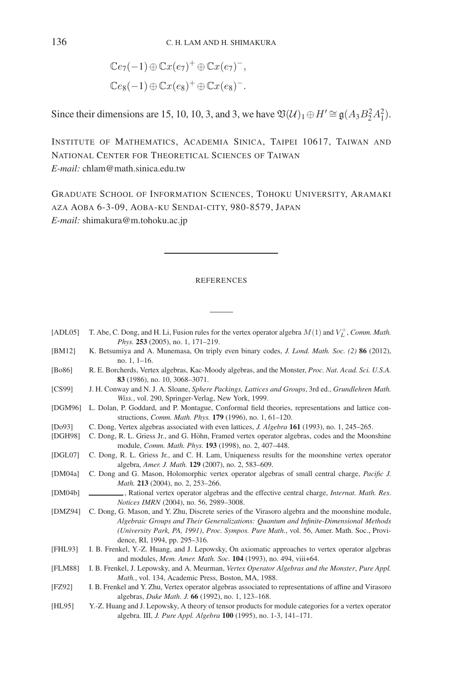$$
\mathbb{C}e_7(-1) \oplus \mathbb{C}x(e_7)^+ \oplus \mathbb{C}x(e_7)^-,
$$
  

$$
\mathbb{C}e_8(-1) \oplus \mathbb{C}x(e_8)^+ \oplus \mathbb{C}x(e_8)^-.
$$

Since their dimensions are 15, 10, 10, 3, and 3, we have  $\mathfrak{V}(\mathcal{U})_1 \oplus H' \cong \mathfrak{g}(A_3 B_2^2 A_1^2)$ .

INSTITUTE OF MATHEMATICS, ACADEMIA SINICA, TAIPEI 10617, TAIWAN AND NATIONAL CENTER FOR THEORETICAL SCIENCES OF TAIWAN *E-mail:* chlam@math.sinica.edu.tw

GRADUATE SCHOOL OF INFORMATION SCIENCES, TOHOKU UNIVERSITY, ARAMAKI AZA AOBA 6-3-09, AOBA-KU SENDAI-CITY, 980-8579, JAPAN *E-mail:* shimakura@m.tohoku.ac.jp

#### REFERENCES

| [ADLO5]      | T. Abe, C. Dong, and H. Li, Fusion rules for the vertex operator algebra $M(1)$ and $V_L^+$ , Comm. Math.<br><i>Phys.</i> 253 (2005), no. 1, 171–219.                                                                                                                                                                 |
|--------------|-----------------------------------------------------------------------------------------------------------------------------------------------------------------------------------------------------------------------------------------------------------------------------------------------------------------------|
| [BM12]       | K. Betsumiya and A. Munemasa, On triply even binary codes, J. Lond. Math. Soc. (2) 86 (2012),<br>no. $1, 1-16.$                                                                                                                                                                                                       |
| [Bo86]       | R. E. Borcherds, Vertex algebras, Kac-Moody algebras, and the Monster, <i>Proc. Nat. Acad. Sci. U.S.A.</i><br>83 (1986), no. 10, 3068-3071.                                                                                                                                                                           |
| [CS99]       | J. H. Conway and N. J. A. Sloane, Sphere Packings, Lattices and Groups, 3rd ed., Grundlehren Math.<br>Wiss., vol. 290, Springer-Verlag, New York, 1999.                                                                                                                                                               |
| [DGM96]      | L. Dolan, P. Goddard, and P. Montague, Conformal field theories, representations and lattice con-<br>structions, <i>Comm. Math. Phys.</i> 179 (1996), no. 1, 61-120.                                                                                                                                                  |
| [Do93]       | C. Dong, Vertex algebras associated with even lattices, J. Algebra 161 (1993), no. 1, 245-265.                                                                                                                                                                                                                        |
| [DGH98]      | C. Dong, R. L. Griess Jr., and G. Höhn, Framed vertex operator algebras, codes and the Moonshine<br>module, <i>Comm. Math. Phys.</i> 193 (1998), no. 2, 407-448.                                                                                                                                                      |
| [DGL07]      | C. Dong, R. L. Griess Jr., and C. H. Lam, Uniqueness results for the moonshine vertex operator<br>algebra, Amer. J. Math. 129 (2007), no. 2, 583-609.                                                                                                                                                                 |
| [DM04a]      | C. Dong and G. Mason, Holomorphic vertex operator algebras of small central charge, <i>Pacific J.</i><br>Math. 213 (2004), no. 2, 253-266.                                                                                                                                                                            |
| [DM04b]      | , Rational vertex operator algebras and the effective central charge, <i>Internat. Math. Res.</i><br>Notices IMRN (2004), no. 56, 2989-3008.                                                                                                                                                                          |
| [DMZ94]      | C. Dong, G. Mason, and Y. Zhu, Discrete series of the Virasoro algebra and the moonshine module,<br>Algebraic Groups and Their Generalizations: Quantum and Infinite-Dimensional Methods<br>(University Park, PA, 1991), Proc. Sympos. Pure Math., vol. 56, Amer. Math. Soc., Provi-<br>dence, RI, 1994, pp. 295–316. |
| [FHL93]      | I. B. Frenkel, Y.-Z. Huang, and J. Lepowsky, On axiomatic approaches to vertex operator algebras<br>and modules, Mem. Amer. Math. Soc. 104 (1993), no. 494, viii+64.                                                                                                                                                  |
| [FLM88]      | I. B. Frenkel, J. Lepowsky, and A. Meurman, Vertex Operator Algebras and the Monster, Pure Appl.<br>Math., vol. 134, Academic Press, Boston, MA, 1988.                                                                                                                                                                |
| $[$ FZ92 $]$ | I. B. Frenkel and Y. Zhu, Vertex operator algebras associated to representations of affine and Virasoro<br>algebras, <i>Duke Math. J.</i> 66 (1992), no. 1, 123-168.                                                                                                                                                  |
| [HL95]       | Y.-Z. Huang and J. Lepowsky, A theory of tensor products for module categories for a vertex operator<br>algebra. III, <i>J. Pure Appl. Algebra</i> 100 (1995), no. 1-3, 141-171.                                                                                                                                      |